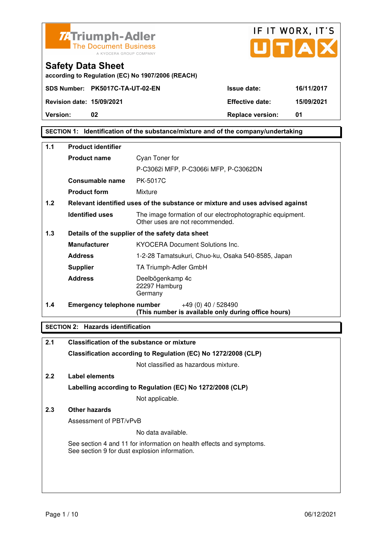



**according to Regulation (EC) No 1907/2006 (REACH)**

## **SECTION 1: Identification of the substance/mixture and of the company/undertaking**

| $1.1$ | <b>Product identifier</b>                        |                                                                                              |
|-------|--------------------------------------------------|----------------------------------------------------------------------------------------------|
|       | <b>Product name</b>                              | Cyan Toner for                                                                               |
|       |                                                  | P-C3062i MFP, P-C3066i MFP, P-C3062DN                                                        |
|       | Consumable name                                  | <b>PK-5017C</b>                                                                              |
|       | <b>Product form</b>                              | Mixture                                                                                      |
| 1.2   |                                                  | Relevant identified uses of the substance or mixture and uses advised against                |
|       | <b>Identified uses</b>                           | The image formation of our electrophotographic equipment.<br>Other uses are not recommended. |
| 1.3   | Details of the supplier of the safety data sheet |                                                                                              |
|       | <b>Manufacturer</b>                              | <b>KYOCERA Document Solutions Inc.</b>                                                       |
|       | <b>Address</b>                                   | 1-2-28 Tamatsukuri, Chuo-ku, Osaka 540-8585, Japan                                           |
|       | <b>Supplier</b>                                  | TA Triumph-Adler GmbH                                                                        |
|       | <b>Address</b>                                   | Deelbögenkamp 4c<br>22297 Hamburg<br>Germany                                                 |
| 1.4   | <b>Emergency telephone number</b>                | $+49(0)$ 40 / 528490<br>(This number is available only during office hours)                  |

## **SECTION 2: Hazards identification**

| 2.1 | <b>Classification of the substance or mixture</b>                                                                     |
|-----|-----------------------------------------------------------------------------------------------------------------------|
|     | Classification according to Regulation (EC) No 1272/2008 (CLP)                                                        |
|     | Not classified as hazardous mixture.                                                                                  |
| 2.2 | Label elements                                                                                                        |
|     | Labelling according to Regulation (EC) No 1272/2008 (CLP)                                                             |
|     | Not applicable.                                                                                                       |
| 2.3 | Other hazards                                                                                                         |
|     | Assessment of PBT/vPvB                                                                                                |
|     | No data available.                                                                                                    |
|     | See section 4 and 11 for information on health effects and symptoms.<br>See section 9 for dust explosion information. |
|     |                                                                                                                       |
|     |                                                                                                                       |
|     |                                                                                                                       |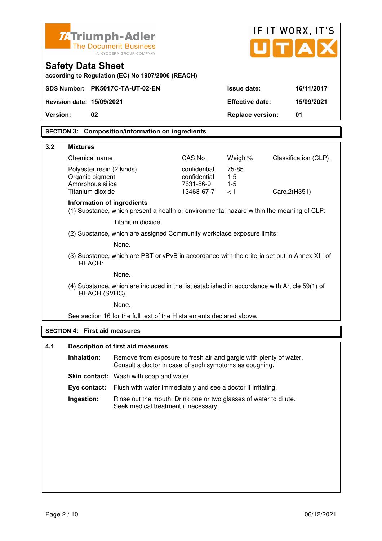| <b>74 Triumph-Adler</b>                                                                                        |                                                                                                                              |                           |                         | IF IT WORX, IT'S                    |
|----------------------------------------------------------------------------------------------------------------|------------------------------------------------------------------------------------------------------------------------------|---------------------------|-------------------------|-------------------------------------|
|                                                                                                                | <b>The Document Business</b><br>A KYOCERA GROUP COMPANY                                                                      |                           |                         | $\mathbf{U}[\mathbf{T} \mathbf{A}]$ |
| <b>Safety Data Sheet</b>                                                                                       | according to Regulation (EC) No 1907/2006 (REACH)                                                                            |                           |                         |                                     |
| SDS Number: PK5017C-TA-UT-02-EN                                                                                |                                                                                                                              |                           | Issue date:             | 16/11/2017                          |
| <b>Revision date: 15/09/2021</b>                                                                               |                                                                                                                              |                           | <b>Effective date:</b>  | 15/09/2021                          |
| Version:<br>02                                                                                                 |                                                                                                                              |                           | <b>Replace version:</b> | 01                                  |
|                                                                                                                | <b>SECTION 3: Composition/information on ingredients</b>                                                                     |                           |                         |                                     |
| 3.2<br><b>Mixtures</b>                                                                                         |                                                                                                                              |                           |                         |                                     |
| Chemical name                                                                                                  |                                                                                                                              | CAS No                    | Weight%                 | Classification (CLP)                |
| Polyester resin (2 kinds)                                                                                      |                                                                                                                              | confidential              | 75-85                   |                                     |
| Organic pigment<br>Amorphous silica                                                                            |                                                                                                                              | confidential<br>7631-86-9 | $1-5$<br>$1-5$          |                                     |
| Titanium dioxide                                                                                               |                                                                                                                              | 13463-67-7                | < 1                     | Carc.2(H351)                        |
| <b>Information of ingredients</b>                                                                              | (1) Substance, which present a health or environmental hazard within the meaning of CLP:                                     |                           |                         |                                     |
|                                                                                                                | Titanium dioxide.                                                                                                            |                           |                         |                                     |
|                                                                                                                | (2) Substance, which are assigned Community workplace exposure limits:                                                       |                           |                         |                                     |
|                                                                                                                | None.                                                                                                                        |                           |                         |                                     |
| REACH:                                                                                                         | (3) Substance, which are PBT or vPvB in accordance with the criteria set out in Annex XIII of                                |                           |                         |                                     |
| None.                                                                                                          |                                                                                                                              |                           |                         |                                     |
| (4) Substance, which are included in the list established in accordance with Article 59(1) of<br>REACH (SVHC): |                                                                                                                              |                           |                         |                                     |
|                                                                                                                | None.                                                                                                                        |                           |                         |                                     |
|                                                                                                                | See section 16 for the full text of the H statements declared above.                                                         |                           |                         |                                     |
| <b>SECTION 4: First aid measures</b>                                                                           |                                                                                                                              |                           |                         |                                     |
| 4.1                                                                                                            | <b>Description of first aid measures</b>                                                                                     |                           |                         |                                     |
| Inhalation:                                                                                                    | Remove from exposure to fresh air and gargle with plenty of water.<br>Consult a doctor in case of such symptoms as coughing. |                           |                         |                                     |
|                                                                                                                | Skin contact: Wash with soap and water.                                                                                      |                           |                         |                                     |
| Eye contact:                                                                                                   | Flush with water immediately and see a doctor if irritating.                                                                 |                           |                         |                                     |
| Ingestion:                                                                                                     | Rinse out the mouth. Drink one or two glasses of water to dilute.<br>Seek medical treatment if necessary.                    |                           |                         |                                     |
|                                                                                                                |                                                                                                                              |                           |                         |                                     |
|                                                                                                                |                                                                                                                              |                           |                         |                                     |
|                                                                                                                |                                                                                                                              |                           |                         |                                     |
|                                                                                                                |                                                                                                                              |                           |                         |                                     |
|                                                                                                                |                                                                                                                              |                           |                         |                                     |
|                                                                                                                |                                                                                                                              |                           |                         |                                     |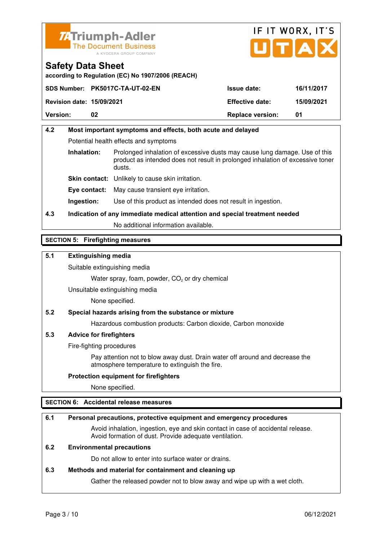



**according to Regulation (EC) No 1907/2006 (REACH)**

|                                  | SDS Number: PK5017C-TA-UT-02-EN | <b>Issue date:</b>      | 16/11/2017 |
|----------------------------------|---------------------------------|-------------------------|------------|
| <b>Revision date: 15/09/2021</b> |                                 | <b>Effective date:</b>  | 15/09/2021 |
| <b>Version:</b>                  | 02                              | <b>Replace version:</b> | 01         |

# **4.2 Most important symptoms and effects, both acute and delayed**  Potential health effects and symptoms **Inhalation:** Prolonged inhalation of excessive dusts may cause lung damage. Use of this product as intended does not result in prolonged inhalation of excessive toner dusts. **Skin contact:** Unlikely to cause skin irritation. **Eye contact:** May cause transient eye irritation.

**Ingestion:** Use of this product as intended does not result in ingestion.

# **4.3 Indication of any immediate medical attention and special treatment needed**

No additional information available.

## **SECTION 5: Firefighting measures**

## **5.1 Extinguishing media**

Suitable extinguishing media

Water spray, foam, powder,  $CO<sub>2</sub>$  or dry chemical

Unsuitable extinguishing media

None specified.

## **5.2 Special hazards arising from the substance or mixture**

Hazardous combustion products: Carbon dioxide, Carbon monoxide

### **5.3 Advice for firefighters**

Fire-fighting procedures

 Pay attention not to blow away dust. Drain water off around and decrease the atmosphere temperature to extinguish the fire.

### **Protection equipment for firefighters**

None specified.

## **SECTION 6: Accidental release measures**

### **6.1 Personal precautions, protective equipment and emergency procedures**

 Avoid inhalation, ingestion, eye and skin contact in case of accidental release. Avoid formation of dust. Provide adequate ventilation.

## **6.2 Environmental precautions**

Do not allow to enter into surface water or drains.

### **6.3 Methods and material for containment and cleaning up**

Gather the released powder not to blow away and wipe up with a wet cloth.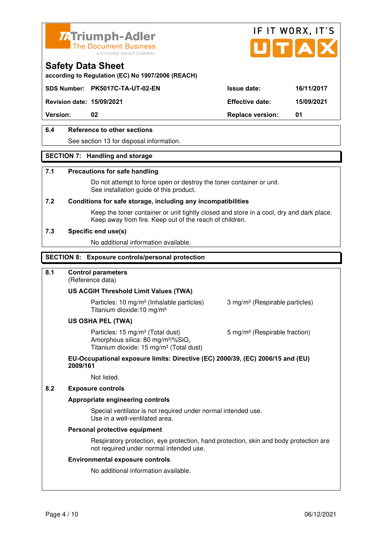



**according to Regulation (EC) No 1907/2006 (REACH)**

## **SDS Number: PK5017C-TA-UT-02-EN Issue date: 16/11/2017**

**Revision date: 15/09/2021 Effective date: 15/09/2021** 

**Version:** 02 **Replace version:** 01

## **6.4 Reference to other sections**

See section 13 for disposal information.

### **SECTION 7: Handling and storage**

#### **7.1 Precautions for safe handling**

 Do not attempt to force open or destroy the toner container or unit. See installation guide of this product.

#### **7.2 Conditions for safe storage, including any incompatibilities**

Keep the toner container or unit tightly closed and store in a cool, dry and dark place. Keep away from fire. Keep out of the reach of children.

#### **7.3 Specific end use(s)**

No additional information available.

#### **SECTION 8: Exposure controls/personal protection**

### **8.1 Control parameters**

(Reference data)

#### **US ACGIH Threshold Limit Values (TWA)**

**Particles: 10 mg/m<sup>3</sup> (Inhalable particles) 3 mg/m<sup>3</sup> (Respirable particles)** Titanium dioxide:10 mg/m³

#### **US OSHA PEL (TWA)**

Particles: 15 mg/m<sup>3</sup> (Total dust) 5 mg/m<sup>3</sup> (Respirable fraction) Amorphous silica:  $80 \text{ mg/m}^3/\% \text{SiO}_2$ Titanium dioxide: 15 mg/m<sup>3</sup> (Total dust)

#### **EU-Occupational exposure limits: Directive (EC) 2000/39, (EC) 2006/15 and (EU) 2009/161**

Not listed.

#### **8.2 Exposure controls**

#### **Appropriate engineering controls**

 Special ventilator is not required under normal intended use. Use in a well-ventilated area.

#### **Personal protective equipment**

 Respiratory protection, eye protection, hand protection, skin and body protection are not required under normal intended use.

#### **Environmental exposure controls**

No additional information available.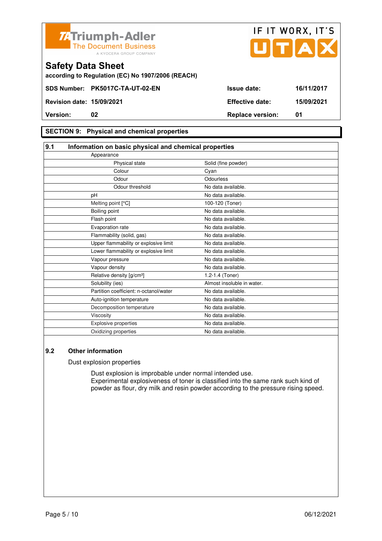



**according to Regulation (EC) No 1907/2006 (REACH)**

## **SECTION 9: Physical and chemical properties**

| 9.1 | Information on basic physical and chemical properties |                            |
|-----|-------------------------------------------------------|----------------------------|
|     | Appearance                                            |                            |
|     | Physical state                                        | Solid (fine powder)        |
|     | Colour                                                | Cyan                       |
|     | Odour                                                 | Odourless                  |
|     | Odour threshold                                       | No data available.         |
|     | pH                                                    | No data available.         |
|     | Melting point [°C]                                    | 100-120 (Toner)            |
|     | Boiling point                                         | No data available.         |
|     | Flash point                                           | No data available.         |
|     | Evaporation rate                                      | No data available.         |
|     | Flammability (solid, gas)                             | No data available.         |
|     | Upper flammability or explosive limit                 | No data available.         |
|     | Lower flammability or explosive limit                 | No data available.         |
|     | Vapour pressure                                       | No data available.         |
|     | Vapour density                                        | No data available.         |
|     | Relative density [g/cm <sup>3</sup> ]                 | 1.2-1.4 (Toner)            |
|     | Solubility (ies)                                      | Almost insoluble in water. |
|     | Partition coefficient: n-octanol/water                | No data available.         |
|     | Auto-ignition temperature                             | No data available.         |
|     | Decomposition temperature                             | No data available.         |
|     | Viscosity                                             | No data available.         |
|     | Explosive properties                                  | No data available.         |
|     | Oxidizing properties                                  | No data available.         |

## **9.2 Other information**

Dust explosion properties

 Dust explosion is improbable under normal intended use. Experimental explosiveness of toner is classified into the same rank such kind of powder as flour, dry milk and resin powder according to the pressure rising speed.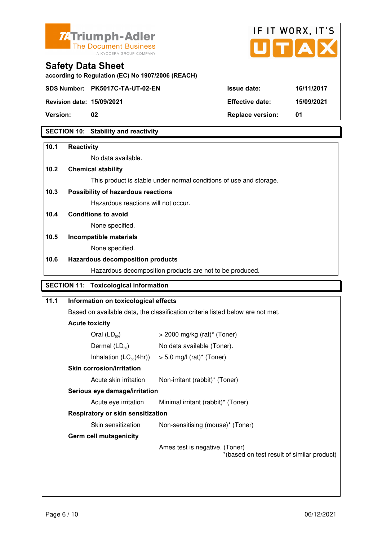



| <b>Revision date: 15/09/2021</b> | <b>Effective date:</b>  | 15/09/2021 |
|----------------------------------|-------------------------|------------|
| <b>Version:</b>                  | <b>Replace version:</b> | 01         |

## **SECTION 10: Stability and reactivity**

### **10.1 Reactivity**

No data available.

**according to Regulation (EC) No 1907/2006 (REACH)**

## **10.2 Chemical stability**

This product is stable under normal conditions of use and storage.

## **10.3 Possibility of hazardous reactions**

Hazardous reactions will not occur.

## **10.4 Conditions to avoid**

None specified.

#### **10.5 Incompatible materials**

None specified.

### **10.6 Hazardous decomposition products**

Hazardous decomposition products are not to be produced.

# **SECTION 11: Toxicological information**

| 11.1 | Information on toxicological effects<br>Based on available data, the classification criteria listed below are not met. |                                                                              |
|------|------------------------------------------------------------------------------------------------------------------------|------------------------------------------------------------------------------|
|      |                                                                                                                        |                                                                              |
|      | <b>Acute toxicity</b>                                                                                                  |                                                                              |
|      | Oral $(LD_{50})$                                                                                                       | $>$ 2000 mg/kg (rat)* (Toner)                                                |
|      | Dermal $(LD_{50})$                                                                                                     | No data available (Toner).                                                   |
|      |                                                                                                                        | Inhalation $(LC_{50}(4hr))$ > 5.0 mg/l (rat) <sup>*</sup> (Toner)            |
|      | <b>Skin corrosion/irritation</b>                                                                                       |                                                                              |
|      | Acute skin irritation                                                                                                  | Non-irritant (rabbit)* (Toner)                                               |
|      | Serious eye damage/irritation                                                                                          |                                                                              |
|      | Acute eye irritation                                                                                                   | Minimal irritant (rabbit)* (Toner)                                           |
|      | Respiratory or skin sensitization                                                                                      |                                                                              |
|      | Skin sensitization                                                                                                     | Non-sensitising (mouse)* (Toner)                                             |
|      | <b>Germ cell mutagenicity</b>                                                                                          |                                                                              |
|      |                                                                                                                        | Ames test is negative. (Toner)<br>*(based on test result of similar product) |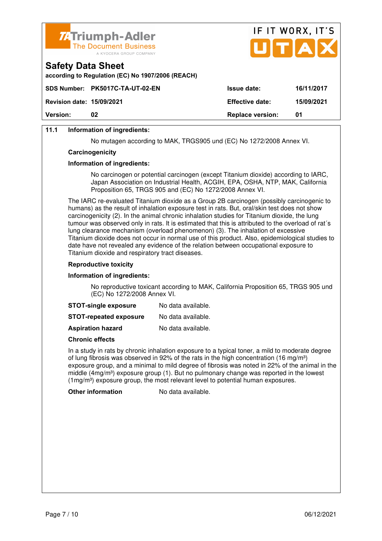



## **11.1 Information of ingredients:**

**Safety Data Sheet** 

No mutagen according to MAK, TRGS905 und (EC) No 1272/2008 Annex VI.

#### **Carcinogenicity**

#### **Information of ingredients:**

 No carcinogen or potential carcinogen (except Titanium dioxide) according to IARC, Japan Association on Industrial Health, ACGIH, EPA, OSHA, NTP, MAK, California Proposition 65, TRGS 905 and (EC) No 1272/2008 Annex VI.

 The IARC re-evaluated Titanium dioxide as a Group 2B carcinogen (possibly carcinogenic to humans) as the result of inhalation exposure test in rats. But, oral/skin test does not show carcinogenicity (2). In the animal chronic inhalation studies for Titanium dioxide, the lung tumour was observed only in rats. It is estimated that this is attributed to the overload of rat´s lung clearance mechanism (overload phenomenon) (3). The inhalation of excessive Titanium dioxide does not occur in normal use of this product. Also, epidemiological studies to date have not revealed any evidence of the relation between occupational exposure to Titanium dioxide and respiratory tract diseases.

#### **Reproductive toxicity**

#### **Information of ingredients:**

 No reproductive toxicant according to MAK, California Proposition 65, TRGS 905 und (EC) No 1272/2008 Annex VI.

| <b>STOT-single exposure</b> | No data available. |
|-----------------------------|--------------------|
|-----------------------------|--------------------|

**STOT-repeated exposure** No data available.

**Aspiration hazard** No data available.

#### **Chronic effects**

 In a study in rats by chronic inhalation exposure to a typical toner, a mild to moderate degree of lung fibrosis was observed in 92% of the rats in the high concentration (16 mg/m<sup>3</sup>) exposure group, and a minimal to mild degree of fibrosis was noted in 22% of the animal in the middle  $(4mg/m<sup>3</sup>)$  exposure group (1). But no pulmonary change was reported in the lowest  $(1 \text{ma/m}^3)$  exposure group, the most relevant level to potential human exposures.

**Other information** No data available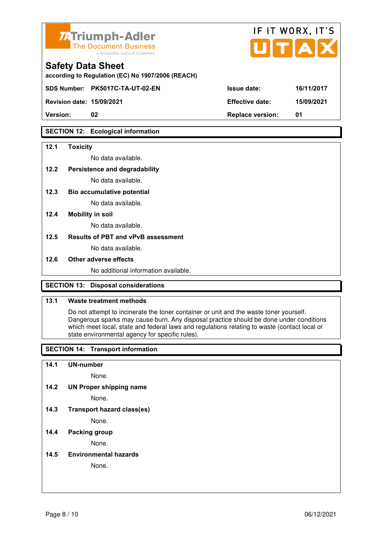

| IF II WURA, II 5       |            |
|------------------------|------------|
|                        |            |
| <b>Issue date:</b>     | 16/11/2017 |
| <b>Effective date:</b> | 15/09/2021 |
|                        | UTAX       |

 $F(T)$ 

## **SECTION 12: Ecological information**

#### **12.1 Toxicity**

No data available.

#### **12.2 Persistence and degradability**

No data available.

**12.3 Bio accumulative potential** 

No data available.

#### **12.4 Mobility in soil**

No data available.

### **12.5 Results of PBT and vPvB assessment**

No data available.

#### **12.6 Other adverse effects**

No additional information available.

**Version: 02 Replace version: 01** 

## **SECTION 13: Disposal considerations**

## **13.1 Waste treatment methods**

 Do not attempt to incinerate the toner container or unit and the waste toner yourself. Dangerous sparks may cause burn. Any disposal practice should be done under conditions which meet local, state and federal laws and regulations relating to waste (contact local or state environmental agency for specific rules).

## **SECTION 14: Transport information**

#### **14.1 UN-number**

None.

**14.2 UN Proper shipping name** 

None.

**14.3 Transport hazard class(es)** 

None.

## **14.4 Packing group**

None.

#### **14.5 Environmental hazards**

None.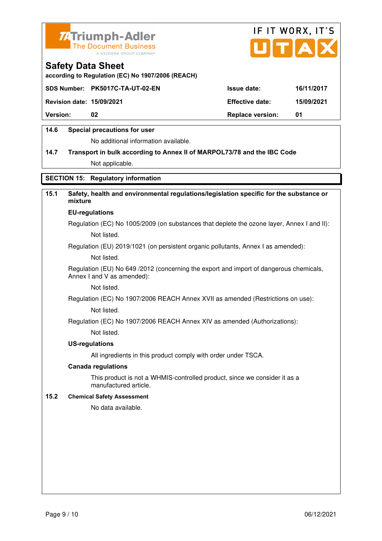



**according to Regulation (EC) No 1907/2006 (REACH)**

|                                  | SDS Number: PK5017C-TA-UT-02-EN | <b>Issue date:</b>      | 16/11/2017 |
|----------------------------------|---------------------------------|-------------------------|------------|
| <b>Revision date: 15/09/2021</b> |                                 | <b>Effective date:</b>  | 15/09/2021 |
| <b>Version:</b>                  | 02                              | <b>Replace version:</b> | -01        |
|                                  |                                 |                         |            |

## **14.6 Special precautions for user**

No additional information available.

# **14.7 Transport in bulk according to Annex II of MARPOL73/78 and the IBC Code** Not applicable.

## **SECTION 15: Regulatory information**

## **15.1 Safety, health and environmental regulations/legislation specific for the substance or mixture**

#### **EU-regulations**

Regulation (EC) No 1005/2009 (on substances that deplete the ozone layer, Annex I and II): Not listed.

Regulation (EU) 2019/1021 (on persistent organic pollutants, Annex I as amended):

Not listed.

 Regulation (EU) No 649 /2012 (concerning the export and import of dangerous chemicals, Annex I and V as amended):

Not listed.

 Regulation (EC) No 1907/2006 REACH Annex XVII as amended (Restrictions on use): Not listed.

Regulation (EC) No 1907/2006 REACH Annex XIV as amended (Authorizations):

Not listed.

#### **US-regulations**

All ingredients in this product comply with order under TSCA.

#### **Canada regulations**

 This product is not a WHMIS-controlled product, since we consider it as a manufactured article.

#### **15.2 Chemical Safety Assessment**

No data available.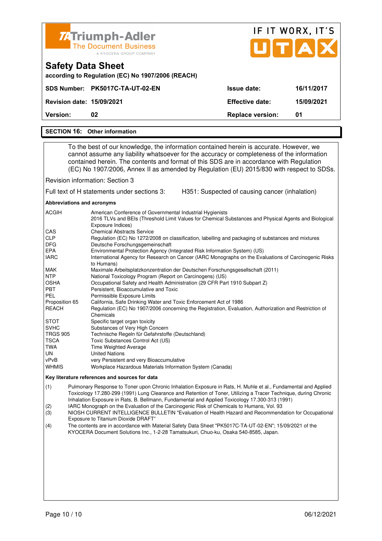| <b>74 Triumph-Adler</b><br><b>The Document Business</b><br>A KYOCERA GROUP COMPANY                                                                                                                                                                                                                                                                                           |                         | IF IT WORX, IT'S<br>UTAX |
|------------------------------------------------------------------------------------------------------------------------------------------------------------------------------------------------------------------------------------------------------------------------------------------------------------------------------------------------------------------------------|-------------------------|--------------------------|
| <b>Safety Data Sheet</b><br>according to Regulation (EC) No 1907/2006 (REACH)                                                                                                                                                                                                                                                                                                |                         |                          |
| SDS Number: PK5017C-TA-UT-02-EN                                                                                                                                                                                                                                                                                                                                              | <b>Issue date:</b>      | 16/11/2017               |
| <b>Revision date: 15/09/2021</b>                                                                                                                                                                                                                                                                                                                                             | <b>Effective date:</b>  | 15/09/2021               |
| <b>Version:</b><br>02                                                                                                                                                                                                                                                                                                                                                        | <b>Replace version:</b> | 01                       |
| <b>SECTION 16: Other information</b>                                                                                                                                                                                                                                                                                                                                         |                         |                          |
| To the best of our knowledge, the information contained herein is accurate. However, we<br>cannot assume any liability whatsoever for the accuracy or completeness of the information<br>contained herein. The contents and format of this SDS are in accordance with Regulation<br>(EC) No 1907/2006, Annex II as amended by Regulation (EU) 2015/830 with respect to SDSs. |                         |                          |

Revision information: Section 3

Full text of H statements under sections 3: H351: Suspected of causing cancer (inhalation)

**Abbreviations and acronyms** 

| <b>ACGIH</b>    | American Conference of Governmental Industrial Hygienists                                                                  |
|-----------------|----------------------------------------------------------------------------------------------------------------------------|
|                 | 2016 TLVs and BEIs (Threshold Limit Values for Chemical Substances and Physical Agents and Biological<br>Exposure Indices) |
| <b>CAS</b>      | <b>Chemical Abstracts Service</b>                                                                                          |
| <b>CLP</b>      | Regulation (EC) No 1272/2008 on classification, labelling and packaging of substances and mixtures                         |
| <b>DFG</b>      | Deutsche Forschungsgemeinschaft                                                                                            |
| <b>EPA</b>      | Environmental Protection Agency (Integrated Risk Information System) (US)                                                  |
| <b>IARC</b>     | International Agency for Research on Cancer (IARC Monographs on the Evaluations of Carcinogenic Risks<br>to Humans)        |
| <b>MAK</b>      | Maximale Arbeitsplatzkonzentration der Deutschen Forschungsgesellschaft (2011)                                             |
| <b>NTP</b>      | National Toxicology Program (Report on Carcinogens) (US)                                                                   |
| <b>OSHA</b>     | Occupational Safety and Health Administration (29 CFR Part 1910 Subpart Z)                                                 |
| <b>PBT</b>      | Persistent, Bioaccumulative and Toxic                                                                                      |
| <b>PEL</b>      | Permissible Exposure Limits                                                                                                |
| Proposition 65  | California, Safe Drinking Water and Toxic Enforcement Act of 1986                                                          |
| REACH           | Regulation (EC) No 1907/2006 concerning the Registration, Evaluation, Authorization and Restriction of                     |
|                 | Chemicals                                                                                                                  |
| <b>STOT</b>     | Specific target organ toxicity                                                                                             |
| <b>SVHC</b>     | Substances of Very High Concern                                                                                            |
| <b>TRGS 905</b> | Technische Regeln für Gefahrstoffe (Deutschland)                                                                           |
| <b>TSCA</b>     | Toxic Substances Control Act (US)                                                                                          |
| TWA             | <b>Time Weighted Average</b>                                                                                               |
| UN.             | <b>United Nations</b>                                                                                                      |
| vPvB            | very Persistent and very Bioaccumulative                                                                                   |
| <b>WHMIS</b>    | Workplace Hazardous Materials Information System (Canada)                                                                  |

#### **Key literature references and sources for data**

(1) Pulmonary Response to Toner upon Chronic Inhalation Exposure in Rats, H. Muhle et al., Fundamental and Applied Toxicology 17.280-299 (1991) Lung Clearance and Retention of Toner, Utilizing a Tracer Technique, during Chronic Inhalation Exposure in Rats, B. Bellmann, Fundamental and Applied Toxicology 17.300-313 (1991)

(2) IARC Monograph on the Evaluation of the Carcinogenic Risk of Chemicals to Humans, Vol. 93<br>(3) NIOSH CURRENT INTELLIGENCE BULLETIN "Evaluation of Health Hazard and Recommend

(3) NIOSH CURRENT INTELLIGENCE BULLETIN "Evaluation of Health Hazard and Recommendation for Occupational Exposure to Titanium Dioxide DRAFT"

(4) The contents are in accordance with Material Safety Data Sheet "PK5017C-TA-UT-02-EN"; 15/09/2021 of the KYOCERA Document Solutions Inc., 1-2-28 Tamatsukuri, Chuo-ku, Osaka 540-8585, Japan.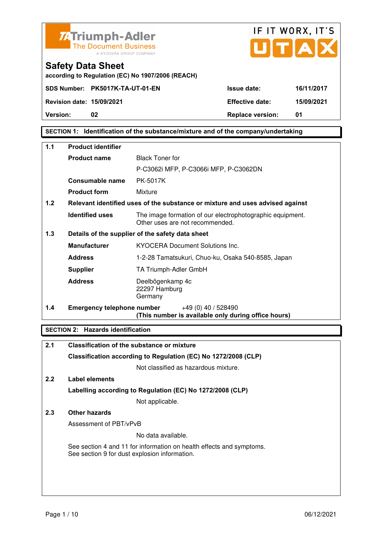



**according to Regulation (EC) No 1907/2006 (REACH)**

**SECTION 1: Identification of the substance/mixture and of the company/undertaking** 

| 1.1 | <b>Product identifier</b>  |                                                                                              |  |
|-----|----------------------------|----------------------------------------------------------------------------------------------|--|
|     | <b>Product name</b>        | <b>Black Toner for</b>                                                                       |  |
|     |                            | P-C3062i MFP, P-C3066i MFP, P-C3062DN                                                        |  |
|     | Consumable name            | PK-5017K                                                                                     |  |
|     | <b>Product form</b>        | Mixture                                                                                      |  |
| 1.2 |                            | Relevant identified uses of the substance or mixture and uses advised against                |  |
|     | <b>Identified uses</b>     | The image formation of our electrophotographic equipment.<br>Other uses are not recommended. |  |
| 1.3 |                            | Details of the supplier of the safety data sheet                                             |  |
|     | <b>Manufacturer</b>        | <b>KYOCERA Document Solutions Inc.</b>                                                       |  |
|     | <b>Address</b>             | 1-2-28 Tamatsukuri, Chuo-ku, Osaka 540-8585, Japan                                           |  |
|     | <b>Supplier</b>            | TA Triumph-Adler GmbH                                                                        |  |
|     | <b>Address</b>             | Deelbögenkamp 4c<br>22297 Hamburg<br>Germany                                                 |  |
| 1.4 | Emergency telephone number | $+49(0)$ 40 / 528490<br>(This number is available only during office hours)                  |  |

## **SECTION 2: Hazards identification**

| 2.1<br><b>Classification of the substance or mixture</b> |                                                                                                                       |
|----------------------------------------------------------|-----------------------------------------------------------------------------------------------------------------------|
|                                                          | Classification according to Regulation (EC) No 1272/2008 (CLP)                                                        |
|                                                          | Not classified as hazardous mixture.                                                                                  |
| 2.2                                                      | Label elements                                                                                                        |
|                                                          | Labelling according to Regulation (EC) No 1272/2008 (CLP)                                                             |
|                                                          | Not applicable.                                                                                                       |
| 2.3                                                      | Other hazards                                                                                                         |
|                                                          | Assessment of PBT/vPvB                                                                                                |
|                                                          | No data available.                                                                                                    |
|                                                          | See section 4 and 11 for information on health effects and symptoms.<br>See section 9 for dust explosion information. |
|                                                          |                                                                                                                       |
|                                                          |                                                                                                                       |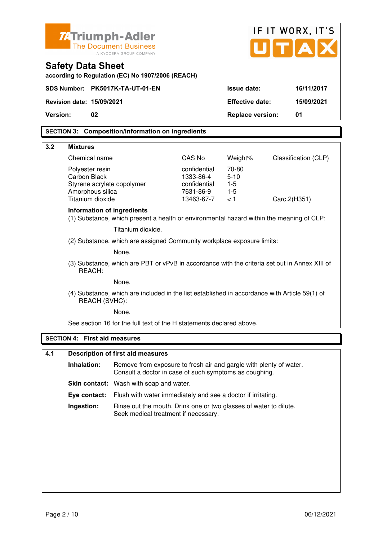|          |                                                                                                                |                                                                                                                              |                           |                         | IF IT WORX, IT'S            |
|----------|----------------------------------------------------------------------------------------------------------------|------------------------------------------------------------------------------------------------------------------------------|---------------------------|-------------------------|-----------------------------|
|          | Z-Triumph-Adler<br><b>The Document Business</b><br>A KYOCERA GROUP COMPANY                                     |                                                                                                                              |                           |                         | UTA                         |
|          | <b>Safety Data Sheet</b>                                                                                       | according to Regulation (EC) No 1907/2006 (REACH)                                                                            |                           |                         |                             |
|          |                                                                                                                | SDS Number: PK5017K-TA-UT-01-EN                                                                                              |                           | <b>Issue date:</b>      | 16/11/2017                  |
|          | <b>Revision date: 15/09/2021</b>                                                                               |                                                                                                                              |                           | <b>Effective date:</b>  | 15/09/2021                  |
| Version: | 02                                                                                                             |                                                                                                                              |                           | <b>Replace version:</b> | 01                          |
|          |                                                                                                                | <b>SECTION 3: Composition/information on ingredients</b>                                                                     |                           |                         |                             |
|          |                                                                                                                |                                                                                                                              |                           |                         |                             |
| 3.2      | <b>Mixtures</b><br>Chemical name                                                                               |                                                                                                                              | CAS No                    | Weight%                 | <b>Classification (CLP)</b> |
|          | Polyester resin                                                                                                |                                                                                                                              | confidential              | 70-80                   |                             |
|          | Carbon Black                                                                                                   |                                                                                                                              | 1333-86-4                 | $5 - 10$                |                             |
|          | Styrene acrylate copolymer<br>Amorphous silica                                                                 |                                                                                                                              | confidential<br>7631-86-9 | $1-5$<br>$1-5$          |                             |
|          | Titanium dioxide                                                                                               |                                                                                                                              | 13463-67-7                | < 1                     | Carc.2(H351)                |
|          | <b>Information of ingredients</b>                                                                              | (1) Substance, which present a health or environmental hazard within the meaning of CLP:                                     |                           |                         |                             |
|          |                                                                                                                | Titanium dioxide.                                                                                                            |                           |                         |                             |
|          | (2) Substance, which are assigned Community workplace exposure limits:                                         |                                                                                                                              |                           |                         |                             |
|          | None.                                                                                                          |                                                                                                                              |                           |                         |                             |
|          | (3) Substance, which are PBT or vPvB in accordance with the criteria set out in Annex XIII of<br>REACH:        |                                                                                                                              |                           |                         |                             |
|          | None.                                                                                                          |                                                                                                                              |                           |                         |                             |
|          | (4) Substance, which are included in the list established in accordance with Article 59(1) of<br>REACH (SVHC): |                                                                                                                              |                           |                         |                             |
|          | None.                                                                                                          |                                                                                                                              |                           |                         |                             |
|          |                                                                                                                | See section 16 for the full text of the H statements declared above.                                                         |                           |                         |                             |
|          | <b>SECTION 4: First aid measures</b>                                                                           |                                                                                                                              |                           |                         |                             |
| 4.1      |                                                                                                                | <b>Description of first aid measures</b>                                                                                     |                           |                         |                             |
|          | Inhalation:                                                                                                    | Remove from exposure to fresh air and gargle with plenty of water.<br>Consult a doctor in case of such symptoms as coughing. |                           |                         |                             |
|          |                                                                                                                | Skin contact: Wash with soap and water.                                                                                      |                           |                         |                             |
|          | Eye contact:                                                                                                   | Flush with water immediately and see a doctor if irritating.                                                                 |                           |                         |                             |
|          | Ingestion:                                                                                                     | Rinse out the mouth. Drink one or two glasses of water to dilute.<br>Seek medical treatment if necessary.                    |                           |                         |                             |
|          |                                                                                                                |                                                                                                                              |                           |                         |                             |
|          |                                                                                                                |                                                                                                                              |                           |                         |                             |
|          |                                                                                                                |                                                                                                                              |                           |                         |                             |
|          |                                                                                                                |                                                                                                                              |                           |                         |                             |
|          |                                                                                                                |                                                                                                                              |                           |                         |                             |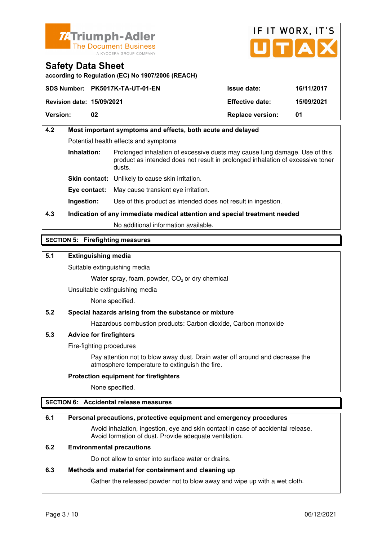



**according to Regulation (EC) No 1907/2006 (REACH)**

|                                  | SDS Number: PK5017K-TA-UT-01-EN | <b>Issue date:</b>      | 16/11/2017 |
|----------------------------------|---------------------------------|-------------------------|------------|
| <b>Revision date: 15/09/2021</b> |                                 | <b>Effective date:</b>  | 15/09/2021 |
| <b>Version:</b>                  | 02                              | <b>Replace version:</b> | 01         |

# **4.2 Most important symptoms and effects, both acute and delayed**  Potential health effects and symptoms **Inhalation:** Prolonged inhalation of excessive dusts may cause lung damage. Use of this product as intended does not result in prolonged inhalation of excessive toner dusts. **Skin contact:** Unlikely to cause skin irritation. **Eye contact:** May cause transient eye irritation.

**Ingestion:** Use of this product as intended does not result in ingestion.

# **4.3 Indication of any immediate medical attention and special treatment needed**

No additional information available.

## **SECTION 5: Firefighting measures**

## **5.1 Extinguishing media**

Suitable extinguishing media

Water spray, foam, powder,  $CO<sub>2</sub>$  or dry chemical

Unsuitable extinguishing media

None specified.

## **5.2 Special hazards arising from the substance or mixture**

Hazardous combustion products: Carbon dioxide, Carbon monoxide

## **5.3 Advice for firefighters**

Fire-fighting procedures

 Pay attention not to blow away dust. Drain water off around and decrease the atmosphere temperature to extinguish the fire.

### **Protection equipment for firefighters**

None specified.

## **SECTION 6: Accidental release measures**

### **6.1 Personal precautions, protective equipment and emergency procedures**

 Avoid inhalation, ingestion, eye and skin contact in case of accidental release. Avoid formation of dust. Provide adequate ventilation.

## **6.2 Environmental precautions**

Do not allow to enter into surface water or drains.

### **6.3 Methods and material for containment and cleaning up**

Gather the released powder not to blow away and wipe up with a wet cloth.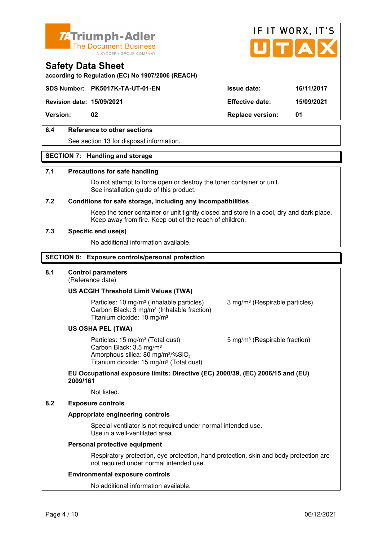



**according to Regulation (EC) No 1907/2006 (REACH)**

## **SDS Number: PK5017K-TA-UT-01-EN Issue date: 16/11/2017**

**Revision date: 15/09/2021 Effective date: 15/09/2021** 

**Version:** 02 **Replace version:** 01

## **6.4 Reference to other sections**

See section 13 for disposal information.

### **SECTION 7: Handling and storage**

#### **7.1 Precautions for safe handling**

 Do not attempt to force open or destroy the toner container or unit. See installation guide of this product.

#### **7.2 Conditions for safe storage, including any incompatibilities**

Keep the toner container or unit tightly closed and store in a cool, dry and dark place. Keep away from fire. Keep out of the reach of children.

#### **7.3 Specific end use(s)**

No additional information available.

#### **SECTION 8: Exposure controls/personal protection**

## **8.1 Control parameters**

(Reference data)

### **US ACGIH Threshold Limit Values (TWA)**

Particles: 10 mg/m<sup>3</sup> (Inhalable particles) 3 mg/m<sup>3</sup> (Respirable particles) Carbon Black: 3 mg/m³ (Inhalable fraction) Titanium dioxide: 10 mg/m³

#### **US OSHA PEL (TWA)**

Particles: 15 mg/m<sup>3</sup> (Total dust) 5 mg/m<sup>3</sup> (Respirable fraction) Carbon Black: 3.5 mg/m³ Amorphous silica:  $80 \text{ mg/m}^3/\% \text{SiO}_2$ Titanium dioxide: 15 mg/m<sup>3</sup> (Total dust)

# **EU Occupational exposure limits: Directive (EC) 2000/39, (EC) 2006/15 and (EU) 2009/161**

Not listed.

#### **8.2 Exposure controls**

### **Appropriate engineering controls**

 Special ventilator is not required under normal intended use. Use in a well-ventilated area.

#### **Personal protective equipment**

 Respiratory protection, eye protection, hand protection, skin and body protection are not required under normal intended use.

#### **Environmental exposure controls**

No additional information available.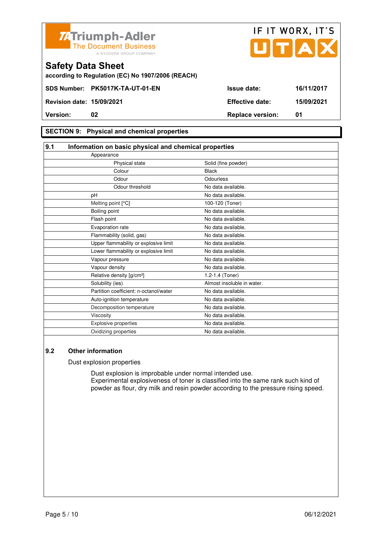



**according to Regulation (EC) No 1907/2006 (REACH)**

## **SECTION 9: Physical and chemical properties**

| 9.1<br>Information on basic physical and chemical properties |                            |  |
|--------------------------------------------------------------|----------------------------|--|
| Appearance                                                   |                            |  |
| Physical state                                               | Solid (fine powder)        |  |
| Colour                                                       | <b>Black</b>               |  |
| Odour                                                        | Odourless                  |  |
| Odour threshold                                              | No data available.         |  |
| pH                                                           | No data available.         |  |
| Melting point [°C]                                           | 100-120 (Toner)            |  |
| Boiling point                                                | No data available.         |  |
| Flash point                                                  | No data available.         |  |
| Evaporation rate                                             | No data available.         |  |
| Flammability (solid, gas)                                    | No data available.         |  |
| Upper flammability or explosive limit                        | No data available.         |  |
| Lower flammability or explosive limit                        | No data available.         |  |
| Vapour pressure                                              | No data available.         |  |
| Vapour density                                               | No data available.         |  |
| Relative density [g/cm <sup>3</sup> ]                        | 1.2-1.4 (Toner)            |  |
| Solubility (ies)                                             | Almost insoluble in water. |  |
| Partition coefficient: n-octanol/water                       | No data available.         |  |
| Auto-ignition temperature                                    | No data available.         |  |
| Decomposition temperature                                    | No data available.         |  |
| Viscosity                                                    | No data available.         |  |
| <b>Explosive properties</b>                                  | No data available.         |  |
| Oxidizing properties                                         | No data available.         |  |

## **9.2 Other information**

Dust explosion properties

 Dust explosion is improbable under normal intended use. Experimental explosiveness of toner is classified into the same rank such kind of powder as flour, dry milk and resin powder according to the pressure rising speed.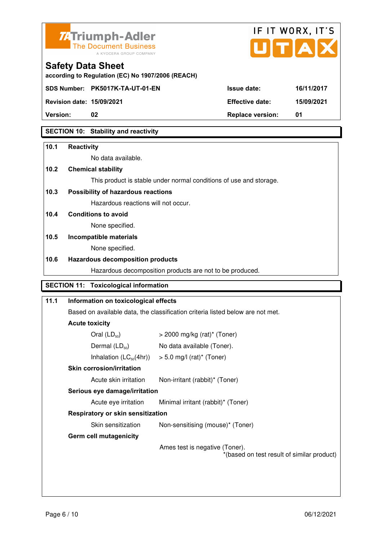



**Version: 02 Replace version: 01** 

## **SECTION 10: Stability and reactivity**

#### **10.1 Reactivity**

No data available.

## **10.2 Chemical stability**

This product is stable under normal conditions of use and storage.

## **10.3 Possibility of hazardous reactions**

Hazardous reactions will not occur.

#### **10.4 Conditions to avoid**

None specified.

#### **10.5 Incompatible materials**

None specified.

#### **10.6 Hazardous decomposition products**

Hazardous decomposition products are not to be produced.

## **SECTION 11: Toxicological information**

# **11.1 Information on toxicological effects**  Based on available data, the classification criteria listed below are not met. **Acute toxicity**  Oral  $(LD_{50})$   $> 2000 \text{ mg/kg (rat)}^*$  (Toner) Dermal  $(LD_{50})$  No data available (Toner). Inhalation  $(LC_{50}(4hr))$  > 5.0 mg/l (rat)\* (Toner)  **Skin corrosion/irritation** Acute skin irritation Non-irritant (rabbit)\* (Toner)  **Serious eye damage/irritation** Acute eye irritation Minimal irritant (rabbit)\* (Toner)  **Respiratory or skin sensitization**  Skin sensitization Mon-sensitising (mouse)\* (Toner)  **Germ cell mutagenicity** Ames test is negative (Toner). \*(based on test result of similar product)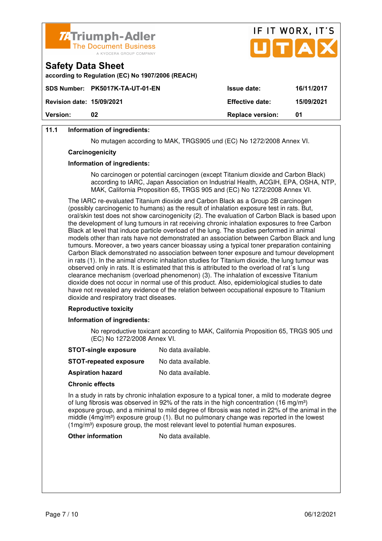

|                                  | <b>74 Triumph-Adler</b><br><b>The Document Business</b><br>A KYOCERA GROUP COMPANY |                         | UTAX       |
|----------------------------------|------------------------------------------------------------------------------------|-------------------------|------------|
| <b>Safety Data Sheet</b>         | according to Regulation (EC) No 1907/2006 (REACH)                                  |                         |            |
|                                  | SDS Number: PK5017K-TA-UT-01-EN                                                    | <b>Issue date:</b>      | 16/11/2017 |
| <b>Revision date: 15/09/2021</b> |                                                                                    | <b>Effective date:</b>  | 15/09/2021 |
| <b>Version:</b>                  | 02                                                                                 | <b>Replace version:</b> | 01         |

IF IT WORY IT'S

## **11.1 Information of ingredients:**

No mutagen according to MAK, TRGS905 und (EC) No 1272/2008 Annex VI.

#### **Carcinogenicity**

#### **Information of ingredients:**

 No carcinogen or potential carcinogen (except Titanium dioxide and Carbon Black) according to IARC, Japan Association on Industrial Health, ACGIH, EPA, OSHA, NTP, MAK, California Proposition 65, TRGS 905 and (EC) No 1272/2008 Annex VI.

 The IARC re-evaluated Titanium dioxide and Carbon Black as a Group 2B carcinogen (possibly carcinogenic to humans) as the result of inhalation exposure test in rats. But, oral/skin test does not show carcinogenicity (2). The evaluation of Carbon Black is based upon the development of lung tumours in rat receiving chronic inhalation exposures to free Carbon Black at level that induce particle overload of the lung. The studies performed in animal models other than rats have not demonstrated an association between Carbon Black and lung tumours. Moreover, a two years cancer bioassay using a typical toner preparation containing Carbon Black demonstrated no association between toner exposure and tumour development in rats (1). In the animal chronic inhalation studies for Titanium dioxide, the lung tumour was observed only in rats. It is estimated that this is attributed to the overload of rat´s lung clearance mechanism (overload phenomenon) (3). The inhalation of excessive Titanium dioxide does not occur in normal use of this product. Also, epidemiological studies to date have not revealed any evidence of the relation between occupational exposure to Titanium dioxide and respiratory tract diseases.

#### **Reproductive toxicity**

#### **Information of ingredients:**

 No reproductive toxicant according to MAK, California Proposition 65, TRGS 905 und (EC) No 1272/2008 Annex VI.

| No data available. |
|--------------------|
|                    |

**Aspiration hazard** No data available.

#### **Chronic effects**

 In a study in rats by chronic inhalation exposure to a typical toner, a mild to moderate degree of lung fibrosis was observed in 92% of the rats in the high concentration (16 mg/m<sup>3</sup>) exposure group, and a minimal to mild degree of fibrosis was noted in 22% of the animal in the middle  $(4mg/m<sup>3</sup>)$  exposure group (1). But no pulmonary change was reported in the lowest (1mg/m<sup>3</sup>) exposure group, the most relevant level to potential human exposures.

**Other information** No data available.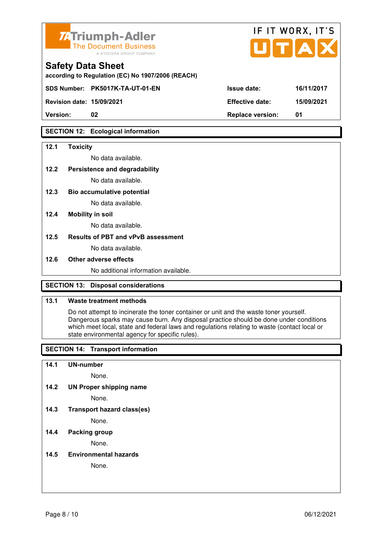

| <b>74 Triumph-Adler</b><br>The Document Business<br>A KYOCERA GROUP COMPANY   |                        | IF II WURA.II 5<br>UTAX |  |
|-------------------------------------------------------------------------------|------------------------|-------------------------|--|
| <b>Safety Data Sheet</b><br>according to Regulation (EC) No 1907/2006 (REACH) |                        |                         |  |
| SDS Number: PK5017K-TA-UT-01-EN                                               | <b>Issue date:</b>     | 16/11/2017              |  |
| <b>Revision date: 15/09/2021</b>                                              | <b>Effective date:</b> | 15/09/2021              |  |

 $F(T)$ 

**SECTION 12: Ecological information** 

#### **12.1 Toxicity**

No data available.

#### **12.2 Persistence and degradability**

No data available.

**12.3 Bio accumulative potential** 

No data available.

#### **12.4 Mobility in soil**

No data available.

#### **12.5 Results of PBT and vPvB assessment**

No data available.

#### **12.6 Other adverse effects**

No additional information available.

**Version: 02 Replace version: 01** 

## **SECTION 13: Disposal considerations**

## **13.1 Waste treatment methods**

 Do not attempt to incinerate the toner container or unit and the waste toner yourself. Dangerous sparks may cause burn. Any disposal practice should be done under conditions which meet local, state and federal laws and regulations relating to waste (contact local or state environmental agency for specific rules).

## **SECTION 14: Transport information**

#### **14.1 UN-number**

None.

**14.2 UN Proper shipping name** 

None.

**14.3 Transport hazard class(es)** 

None.

## **14.4 Packing group**

None.

#### **14.5 Environmental hazards**

None.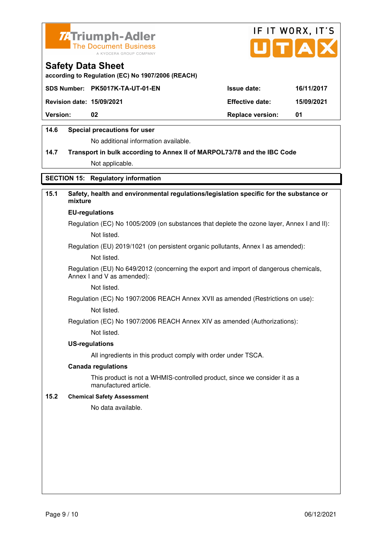



**according to Regulation (EC) No 1907/2006 (REACH)**

|                                  | SDS Number: PK5017K-TA-UT-01-EN | <b>Issue date:</b>      | 16/11/2017 |
|----------------------------------|---------------------------------|-------------------------|------------|
| <b>Revision date: 15/09/2021</b> |                                 | <b>Effective date:</b>  | 15/09/2021 |
| <b>Version:</b>                  | 02                              | <b>Replace version:</b> | -01        |
|                                  |                                 |                         |            |

## **14.6 Special precautions for user**

No additional information available.

# **14.7 Transport in bulk according to Annex II of MARPOL73/78 and the IBC Code** Not applicable.

**SECTION 15: Regulatory information** 

## **15.1 Safety, health and environmental regulations/legislation specific for the substance or mixture**

#### **EU-regulations**

Regulation (EC) No 1005/2009 (on substances that deplete the ozone layer, Annex I and II): Not listed.

Regulation (EU) 2019/1021 (on persistent organic pollutants, Annex I as amended):

Not listed.

 Regulation (EU) No 649/2012 (concerning the export and import of dangerous chemicals, Annex I and V as amended):

Not listed.

 Regulation (EC) No 1907/2006 REACH Annex XVII as amended (Restrictions on use): Not listed.

Regulation (EC) No 1907/2006 REACH Annex XIV as amended (Authorizations):

Not listed.

#### **US-regulations**

All ingredients in this product comply with order under TSCA.

#### **Canada regulations**

 This product is not a WHMIS-controlled product, since we consider it as a manufactured article.

#### **15.2 Chemical Safety Assessment**

No data available.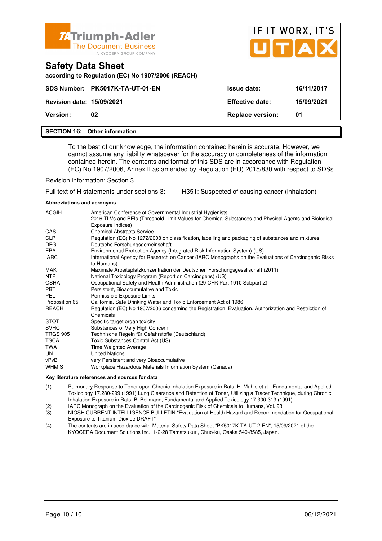|                                                                                                                                                                                                                                                                                                                                                                                                                 | <b>74 Triumph-Adler</b><br><b>The Document Business</b><br>A KYOCERA GROUP COMPANY |                         | IF IT WORX, IT'S<br>U[T A X] |
|-----------------------------------------------------------------------------------------------------------------------------------------------------------------------------------------------------------------------------------------------------------------------------------------------------------------------------------------------------------------------------------------------------------------|------------------------------------------------------------------------------------|-------------------------|------------------------------|
| <b>Safety Data Sheet</b>                                                                                                                                                                                                                                                                                                                                                                                        | according to Regulation (EC) No 1907/2006 (REACH)                                  |                         |                              |
|                                                                                                                                                                                                                                                                                                                                                                                                                 | SDS Number: PK5017K-TA-UT-01-EN                                                    | <b>Issue date:</b>      | 16/11/2017                   |
| <b>Revision date: 15/09/2021</b>                                                                                                                                                                                                                                                                                                                                                                                |                                                                                    | <b>Effective date:</b>  | 15/09/2021                   |
| Version:                                                                                                                                                                                                                                                                                                                                                                                                        | 02                                                                                 | <b>Replace version:</b> | 01                           |
|                                                                                                                                                                                                                                                                                                                                                                                                                 | <b>SECTION 16: Other information</b>                                               |                         |                              |
| To the best of our knowledge, the information contained herein is accurate. However, we<br>cannot assume any liability whatsoever for the accuracy or completeness of the information<br>contained herein. The contents and format of this SDS are in accordance with Regulation<br>(EC) No 1907/2006, Annex II as amended by Regulation (EU) 2015/830 with respect to SDSs.<br>Dovision information: Costian 2 |                                                                                    |                         |                              |

Revision information: Section 3

Full text of H statements under sections 3: H351: Suspected of causing cancer (inhalation)

**Abbreviations and acronyms** 

| <b>ACGIH</b>    | American Conference of Governmental Industrial Hygienists<br>2016 TLVs and BEIs (Threshold Limit Values for Chemical Substances and Physical Agents and Biological |
|-----------------|--------------------------------------------------------------------------------------------------------------------------------------------------------------------|
|                 | Exposure Indices)                                                                                                                                                  |
| CAS             | <b>Chemical Abstracts Service</b>                                                                                                                                  |
| <b>CLP</b>      | Regulation (EC) No 1272/2008 on classification, labelling and packaging of substances and mixtures                                                                 |
| <b>DFG</b>      | Deutsche Forschungsgemeinschaft                                                                                                                                    |
| <b>EPA</b>      | Environmental Protection Agency (Integrated Risk Information System) (US)                                                                                          |
| <b>IARC</b>     | International Agency for Research on Cancer (IARC Monographs on the Evaluations of Carcinogenic Risks<br>to Humans)                                                |
| <b>MAK</b>      | Maximale Arbeitsplatzkonzentration der Deutschen Forschungsgesellschaft (2011)                                                                                     |
| <b>NTP</b>      | National Toxicology Program (Report on Carcinogens) (US)                                                                                                           |
| <b>OSHA</b>     | Occupational Safety and Health Administration (29 CFR Part 1910 Subpart Z)                                                                                         |
| <b>PBT</b>      | Persistent, Bioaccumulative and Toxic                                                                                                                              |
| <b>PEL</b>      | Permissible Exposure Limits                                                                                                                                        |
| Proposition 65  | California, Safe Drinking Water and Toxic Enforcement Act of 1986                                                                                                  |
| REACH           | Regulation (EC) No 1907/2006 concerning the Registration, Evaluation, Authorization and Restriction of                                                             |
|                 | Chemicals                                                                                                                                                          |
| <b>STOT</b>     | Specific target organ toxicity                                                                                                                                     |
| <b>SVHC</b>     | Substances of Very High Concern                                                                                                                                    |
| <b>TRGS 905</b> | Technische Regeln für Gefahrstoffe (Deutschland)                                                                                                                   |
| <b>TSCA</b>     | Toxic Substances Control Act (US)                                                                                                                                  |
| TWA             | Time Weighted Average                                                                                                                                              |
| UN              | <b>United Nations</b>                                                                                                                                              |
| vPvB            | very Persistent and very Bioaccumulative                                                                                                                           |
| <b>WHMIS</b>    | Workplace Hazardous Materials Information System (Canada)                                                                                                          |

#### **Key literature references and sources for data**

(1) Pulmonary Response to Toner upon Chronic Inhalation Exposure in Rats, H. Muhle et al., Fundamental and Applied Toxicology 17.280-299 (1991) Lung Clearance and Retention of Toner, Utilizing a Tracer Technique, during Chronic Inhalation Exposure in Rats, B. Bellmann, Fundamental and Applied Toxicology 17.300-313 (1991)

(2) IARC Monograph on the Evaluation of the Carcinogenic Risk of Chemicals to Humans, Vol. 93<br>(3) NIOSH CURRENT INTELLIGENCE BULLETIN "Evaluation of Health Hazard and Recommend

NIOSH CURRENT INTELLIGENCE BULLETIN "Evaluation of Health Hazard and Recommendation for Occupational Exposure to Titanium Dioxide DRAFT"

(4) The contents are in accordance with Material Safety Data Sheet "PK5017K-TA-UT-2-EN"; 15/09/2021 of the KYOCERA Document Solutions Inc., 1-2-28 Tamatsukuri, Chuo-ku, Osaka 540-8585, Japan.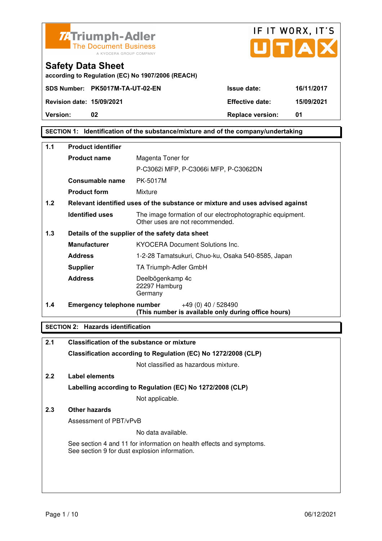

**according to Regulation (EC) No 1907/2006 (REACH)**



**Safety Data Sheet** 

**Version:** 02 **Details** 02 **Replace version: 01** 

## **SECTION 1: Identification of the substance/mixture and of the company/undertaking**

| $1.1$ | <b>Product identifier</b>         |                                                                                              |  |
|-------|-----------------------------------|----------------------------------------------------------------------------------------------|--|
|       | <b>Product name</b>               | Magenta Toner for                                                                            |  |
|       |                                   | P-C3062i MFP, P-C3066i MFP, P-C3062DN                                                        |  |
|       | Consumable name                   | <b>PK-5017M</b>                                                                              |  |
|       | <b>Product form</b>               | Mixture                                                                                      |  |
| 1.2   |                                   | Relevant identified uses of the substance or mixture and uses advised against                |  |
|       | <b>Identified uses</b>            | The image formation of our electrophotographic equipment.<br>Other uses are not recommended. |  |
| 1.3   |                                   | Details of the supplier of the safety data sheet                                             |  |
|       | <b>Manufacturer</b>               | <b>KYOCERA Document Solutions Inc.</b>                                                       |  |
|       | <b>Address</b>                    | 1-2-28 Tamatsukuri, Chuo-ku, Osaka 540-8585, Japan                                           |  |
|       | <b>Supplier</b>                   | TA Triumph-Adler GmbH                                                                        |  |
|       | <b>Address</b>                    | Deelbögenkamp 4c<br>22297 Hamburg<br>Germany                                                 |  |
| 1.4   | <b>Emergency telephone number</b> | $+49(0)$ 40 / 528490<br>(This number is available only during office hours)                  |  |

## **SECTION 2: Hazards identification**

| 2.1           | <b>Classification of the substance or mixture</b>                                                                     |
|---------------|-----------------------------------------------------------------------------------------------------------------------|
|               | Classification according to Regulation (EC) No 1272/2008 (CLP)                                                        |
|               | Not classified as hazardous mixture.                                                                                  |
| $2.2^{\circ}$ | Label elements                                                                                                        |
|               | Labelling according to Regulation (EC) No 1272/2008 (CLP)                                                             |
|               | Not applicable.                                                                                                       |
| 2.3           | Other hazards                                                                                                         |
|               | Assessment of PBT/vPvB                                                                                                |
|               | No data available.                                                                                                    |
|               | See section 4 and 11 for information on health effects and symptoms.<br>See section 9 for dust explosion information. |
|               |                                                                                                                       |
|               |                                                                                                                       |
|               |                                                                                                                       |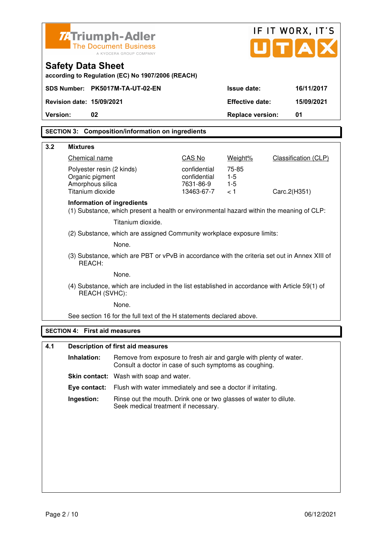|          | <b>74 Triumph-Adler</b>                                                                                        |                                                                                                                              |                           |                         | IF IT WORX, IT'S     |
|----------|----------------------------------------------------------------------------------------------------------------|------------------------------------------------------------------------------------------------------------------------------|---------------------------|-------------------------|----------------------|
|          |                                                                                                                | <b>The Document Business</b><br>A KYOCERA GROUP COMPANY                                                                      |                           |                         | U[T A]               |
|          | <b>Safety Data Sheet</b>                                                                                       |                                                                                                                              |                           |                         |                      |
|          |                                                                                                                | according to Regulation (EC) No 1907/2006 (REACH)                                                                            |                           |                         |                      |
|          |                                                                                                                | SDS Number: PK5017M-TA-UT-02-EN                                                                                              |                           | <b>Issue date:</b>      | 16/11/2017           |
|          | <b>Revision date: 15/09/2021</b>                                                                               |                                                                                                                              |                           | <b>Effective date:</b>  | 15/09/2021           |
| Version: | 02                                                                                                             |                                                                                                                              |                           | <b>Replace version:</b> | 01                   |
|          |                                                                                                                | <b>SECTION 3: Composition/information on ingredients</b>                                                                     |                           |                         |                      |
| 3.2      | <b>Mixtures</b>                                                                                                |                                                                                                                              |                           |                         |                      |
|          | Chemical name                                                                                                  |                                                                                                                              | CAS No                    | Weight%                 | Classification (CLP) |
|          | Polyester resin (2 kinds)                                                                                      |                                                                                                                              | confidential              | 75-85                   |                      |
|          | Organic pigment<br>Amorphous silica                                                                            |                                                                                                                              | confidential<br>7631-86-9 | $1-5$<br>$1-5$          |                      |
|          | Titanium dioxide                                                                                               |                                                                                                                              | 13463-67-7                | < 1                     | Carc.2(H351)         |
|          | Information of ingredients                                                                                     | (1) Substance, which present a health or environmental hazard within the meaning of CLP:                                     |                           |                         |                      |
|          |                                                                                                                | Titanium dioxide.                                                                                                            |                           |                         |                      |
|          | (2) Substance, which are assigned Community workplace exposure limits:                                         |                                                                                                                              |                           |                         |                      |
|          | None.                                                                                                          |                                                                                                                              |                           |                         |                      |
|          | (3) Substance, which are PBT or vPvB in accordance with the criteria set out in Annex XIII of<br>REACH:        |                                                                                                                              |                           |                         |                      |
|          | None.                                                                                                          |                                                                                                                              |                           |                         |                      |
|          | (4) Substance, which are included in the list established in accordance with Article 59(1) of<br>REACH (SVHC): |                                                                                                                              |                           |                         |                      |
|          |                                                                                                                | None.                                                                                                                        |                           |                         |                      |
|          |                                                                                                                | See section 16 for the full text of the H statements declared above.                                                         |                           |                         |                      |
|          | <b>SECTION 4: First aid measures</b>                                                                           |                                                                                                                              |                           |                         |                      |
| 4.1      |                                                                                                                | <b>Description of first aid measures</b>                                                                                     |                           |                         |                      |
|          | Inhalation:                                                                                                    | Remove from exposure to fresh air and gargle with plenty of water.<br>Consult a doctor in case of such symptoms as coughing. |                           |                         |                      |
|          |                                                                                                                | Skin contact: Wash with soap and water.                                                                                      |                           |                         |                      |
|          | Eye contact:                                                                                                   | Flush with water immediately and see a doctor if irritating.                                                                 |                           |                         |                      |
|          | Ingestion:                                                                                                     | Rinse out the mouth. Drink one or two glasses of water to dilute.<br>Seek medical treatment if necessary.                    |                           |                         |                      |
|          |                                                                                                                |                                                                                                                              |                           |                         |                      |
|          |                                                                                                                |                                                                                                                              |                           |                         |                      |
|          |                                                                                                                |                                                                                                                              |                           |                         |                      |
|          |                                                                                                                |                                                                                                                              |                           |                         |                      |
|          |                                                                                                                |                                                                                                                              |                           |                         |                      |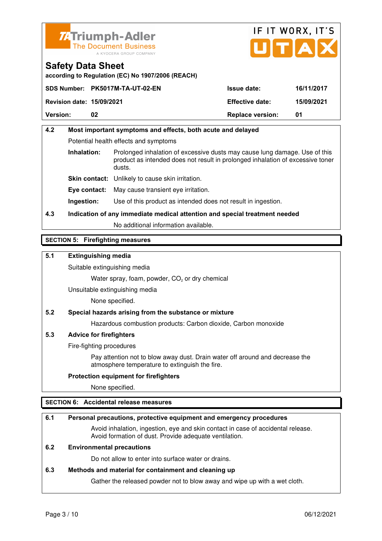



**according to Regulation (EC) No 1907/2006 (REACH)**

|                                  | SDS Number: PK5017M-TA-UT-02-EN | <b>Issue date:</b>      | 16/11/2017 |
|----------------------------------|---------------------------------|-------------------------|------------|
| <b>Revision date: 15/09/2021</b> |                                 | <b>Effective date:</b>  | 15/09/2021 |
| <b>Version:</b>                  | 02                              | <b>Replace version:</b> | 01         |

# **4.2 Most important symptoms and effects, both acute and delayed**  Potential health effects and symptoms **Inhalation:** Prolonged inhalation of excessive dusts may cause lung damage. Use of this product as intended does not result in prolonged inhalation of excessive toner dusts. **Skin contact:** Unlikely to cause skin irritation. **Eye contact:** May cause transient eye irritation.

**Ingestion:** Use of this product as intended does not result in ingestion.

# **4.3 Indication of any immediate medical attention and special treatment needed**

No additional information available.

## **SECTION 5: Firefighting measures**

## **5.1 Extinguishing media**

Suitable extinguishing media

Water spray, foam, powder,  $CO<sub>2</sub>$  or dry chemical

Unsuitable extinguishing media

None specified.

## **5.2 Special hazards arising from the substance or mixture**

Hazardous combustion products: Carbon dioxide, Carbon monoxide

### **5.3 Advice for firefighters**

Fire-fighting procedures

 Pay attention not to blow away dust. Drain water off around and decrease the atmosphere temperature to extinguish the fire.

### **Protection equipment for firefighters**

None specified.

## **SECTION 6: Accidental release measures**

### **6.1 Personal precautions, protective equipment and emergency procedures**

 Avoid inhalation, ingestion, eye and skin contact in case of accidental release. Avoid formation of dust. Provide adequate ventilation.

## **6.2 Environmental precautions**

Do not allow to enter into surface water or drains.

### **6.3 Methods and material for containment and cleaning up**

Gather the released powder not to blow away and wipe up with a wet cloth.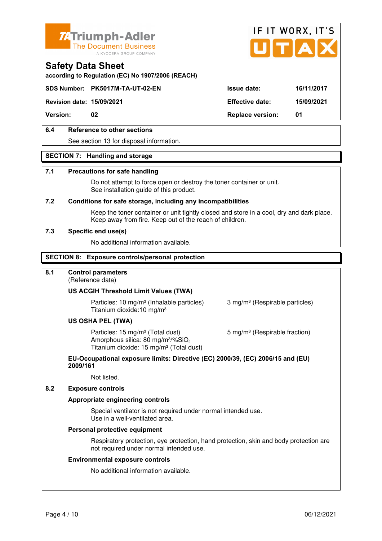



**according to Regulation (EC) No 1907/2006 (REACH)**

## **SDS Number: PK5017M-TA-UT-02-EN Issue date: 16/11/2017**

**Revision date: 15/09/2021 Effective date: 15/09/2021** 

**Version:** 02 **Replace version:** 01

## **6.4 Reference to other sections**

See section 13 for disposal information.

#### **SECTION 7: Handling and storage**

#### **7.1 Precautions for safe handling**

 Do not attempt to force open or destroy the toner container or unit. See installation guide of this product.

#### **7.2 Conditions for safe storage, including any incompatibilities**

Keep the toner container or unit tightly closed and store in a cool, dry and dark place. Keep away from fire. Keep out of the reach of children.

#### **7.3 Specific end use(s)**

No additional information available.

#### **SECTION 8: Exposure controls/personal protection**

### **8.1 Control parameters**

(Reference data)

#### **US ACGIH Threshold Limit Values (TWA)**

**Particles: 10 mg/m<sup>3</sup> (Inhalable particles) 3 mg/m<sup>3</sup> (Respirable particles)** Titanium dioxide:10 mg/m³

#### **US OSHA PEL (TWA)**

Particles: 15 mg/m<sup>3</sup> (Total dust) 5 mg/m<sup>3</sup> (Respirable fraction) Amorphous silica:  $80 \text{ mg/m}^3/\% \text{SiO}_2$ Titanium dioxide: 15 mg/m<sup>3</sup> (Total dust)

#### **EU-Occupational exposure limits: Directive (EC) 2000/39, (EC) 2006/15 and (EU) 2009/161**

Not listed.

#### **8.2 Exposure controls**

#### **Appropriate engineering controls**

 Special ventilator is not required under normal intended use. Use in a well-ventilated area.

#### **Personal protective equipment**

 Respiratory protection, eye protection, hand protection, skin and body protection are not required under normal intended use.

#### **Environmental exposure controls**

No additional information available.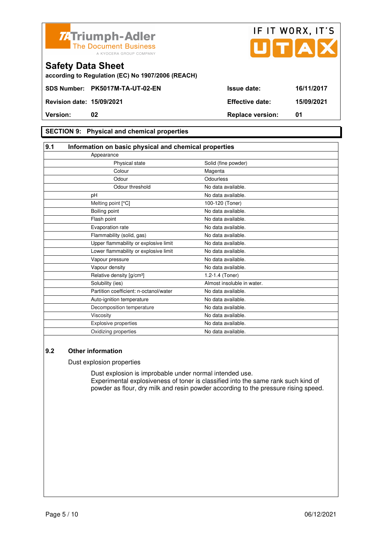



**according to Regulation (EC) No 1907/2006 (REACH)**

## **SECTION 9: Physical and chemical properties**

| 9.1 | Information on basic physical and chemical properties |                            |  |
|-----|-------------------------------------------------------|----------------------------|--|
|     | Appearance                                            |                            |  |
|     | Physical state                                        | Solid (fine powder)        |  |
|     | Colour                                                | Magenta                    |  |
|     | Odour                                                 | Odourless                  |  |
|     | Odour threshold                                       | No data available.         |  |
|     | pH                                                    | No data available.         |  |
|     | Melting point [°C]                                    | 100-120 (Toner)            |  |
|     | Boiling point                                         | No data available.         |  |
|     | Flash point                                           | No data available.         |  |
|     | Evaporation rate                                      | No data available.         |  |
|     | Flammability (solid, gas)                             | No data available.         |  |
|     | Upper flammability or explosive limit                 | No data available.         |  |
|     | Lower flammability or explosive limit                 | No data available.         |  |
|     | Vapour pressure                                       | No data available.         |  |
|     | Vapour density                                        | No data available.         |  |
|     | Relative density [g/cm <sup>3</sup> ]                 | 1.2-1.4 (Toner)            |  |
|     | Solubility (ies)                                      | Almost insoluble in water. |  |
|     | Partition coefficient: n-octanol/water                | No data available.         |  |
|     | Auto-ignition temperature                             | No data available.         |  |
|     | Decomposition temperature                             | No data available.         |  |
|     | Viscosity                                             | No data available.         |  |
|     | Explosive properties                                  | No data available.         |  |
|     | Oxidizing properties                                  | No data available.         |  |

## **9.2 Other information**

Dust explosion properties

 Dust explosion is improbable under normal intended use. Experimental explosiveness of toner is classified into the same rank such kind of powder as flour, dry milk and resin powder according to the pressure rising speed.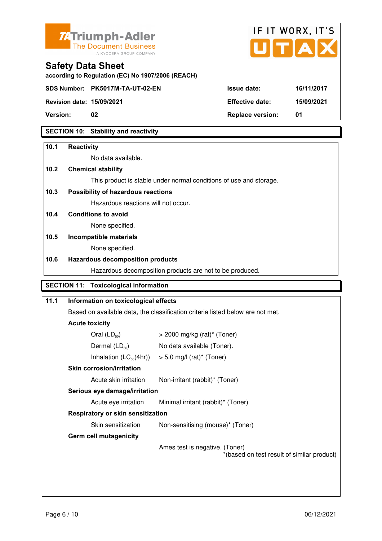



**Version:** 02 **Replace version:** 01

## **SECTION 10: Stability and reactivity**

#### **10.1 Reactivity**

No data available.

### **10.2 Chemical stability**

This product is stable under normal conditions of use and storage.

## **10.3 Possibility of hazardous reactions**

Hazardous reactions will not occur.

## **10.4 Conditions to avoid**

None specified.

#### **10.5 Incompatible materials**

None specified.

#### **10.6 Hazardous decomposition products**

Hazardous decomposition products are not to be produced.

# **SECTION 11: Toxicological information**

| 11.1 | Information on toxicological effects                                           |                                                                              |  |
|------|--------------------------------------------------------------------------------|------------------------------------------------------------------------------|--|
|      | Based on available data, the classification criteria listed below are not met. |                                                                              |  |
|      | <b>Acute toxicity</b>                                                          |                                                                              |  |
|      | Oral $(LD_{50})$                                                               | $>$ 2000 mg/kg (rat)* (Toner)                                                |  |
|      | Dermal $(LD_{50})$                                                             | No data available (Toner).                                                   |  |
|      |                                                                                | Inhalation $(LC_{50}(4hr))$ > 5.0 mg/l (rat) <sup>*</sup> (Toner)            |  |
|      | <b>Skin corrosion/irritation</b>                                               |                                                                              |  |
|      | Acute skin irritation                                                          | Non-irritant (rabbit)* (Toner)                                               |  |
|      | Serious eye damage/irritation                                                  |                                                                              |  |
|      | Acute eye irritation                                                           | Minimal irritant (rabbit)* (Toner)                                           |  |
|      | Respiratory or skin sensitization                                              |                                                                              |  |
|      | Skin sensitization                                                             | Non-sensitising (mouse)* (Toner)                                             |  |
|      | <b>Germ cell mutagenicity</b>                                                  |                                                                              |  |
|      |                                                                                | Ames test is negative. (Toner)<br>*(based on test result of similar product) |  |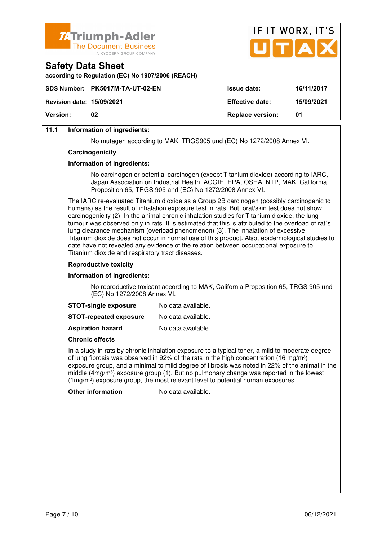



## **11.1 Information of ingredients:**

**Safety Data Sheet** 

No mutagen according to MAK, TRGS905 und (EC) No 1272/2008 Annex VI.

#### **Carcinogenicity**

#### **Information of ingredients:**

 No carcinogen or potential carcinogen (except Titanium dioxide) according to IARC, Japan Association on Industrial Health, ACGIH, EPA, OSHA, NTP, MAK, California Proposition 65, TRGS 905 and (EC) No 1272/2008 Annex VI.

 The IARC re-evaluated Titanium dioxide as a Group 2B carcinogen (possibly carcinogenic to humans) as the result of inhalation exposure test in rats. But, oral/skin test does not show carcinogenicity (2). In the animal chronic inhalation studies for Titanium dioxide, the lung tumour was observed only in rats. It is estimated that this is attributed to the overload of rat´s lung clearance mechanism (overload phenomenon) (3). The inhalation of excessive Titanium dioxide does not occur in normal use of this product. Also, epidemiological studies to date have not revealed any evidence of the relation between occupational exposure to Titanium dioxide and respiratory tract diseases.

#### **Reproductive toxicity**

#### **Information of ingredients:**

 No reproductive toxicant according to MAK, California Proposition 65, TRGS 905 und (EC) No 1272/2008 Annex VI.

| <b>STOT-single exposure</b> | No data available. |
|-----------------------------|--------------------|
|-----------------------------|--------------------|

**STOT-repeated exposure** No data available.

**Aspiration hazard** No data available.

#### **Chronic effects**

 In a study in rats by chronic inhalation exposure to a typical toner, a mild to moderate degree of lung fibrosis was observed in 92% of the rats in the high concentration (16 mg/m<sup>3</sup>) exposure group, and a minimal to mild degree of fibrosis was noted in 22% of the animal in the middle  $(4mg/m<sup>3</sup>)$  exposure group (1). But no pulmonary change was reported in the lowest  $(1 \text{ma/m}^3)$  exposure group, the most relevant level to potential human exposures.

**Other information** No data available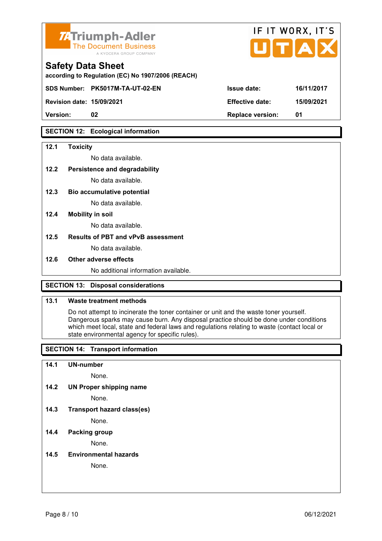

|               |                        | II II WUI\A, II J |
|---------------|------------------------|-------------------|
|               |                        | TA                |
| <b>REACH)</b> |                        |                   |
|               | <b>Issue date:</b>     | 16/11/2017        |
|               | <b>Effective date:</b> | 15/09/2021        |
|               |                        |                   |

IF IT WORY IT'S

## **Safety Data Sheet**

according to Regulation (EC) No 1907/2006 (F

**SDS Number: PK5017M-TA-UT-02-EN** 

**Revision date: 15/09/2021 Effective date: 15/09/2021** 

**Version: 02 Replace version: 01** 

## **SECTION 12: Ecological information**

## **12.1 Toxicity**

No data available.

## **12.2 Persistence and degradability**

No data available.

**12.3 Bio accumulative potential** 

No data available.

### **12.4 Mobility in soil**

No data available.

### **12.5 Results of PBT and vPvB assessment**

No data available.

### **12.6 Other adverse effects**

No additional information available.

## **SECTION 13: Disposal considerations**

## **13.1 Waste treatment methods**

 Do not attempt to incinerate the toner container or unit and the waste toner yourself. Dangerous sparks may cause burn. Any disposal practice should be done under conditions which meet local, state and federal laws and regulations relating to waste (contact local or state environmental agency for specific rules).

## **SECTION 14: Transport information**

### **14.1 UN-number**

None.

**14.2 UN Proper shipping name** 

None.

**14.3 Transport hazard class(es)** 

None.

## **14.4 Packing group**

None.

### **14.5 Environmental hazards**

None.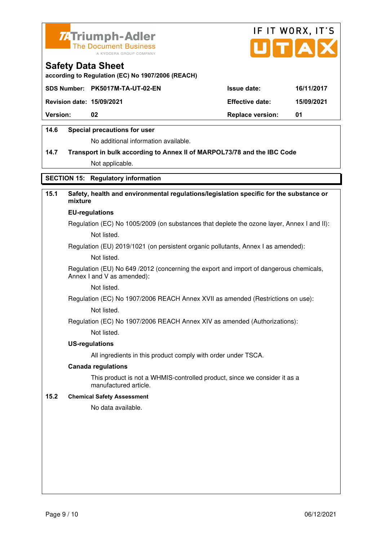



**according to Regulation (EC) No 1907/2006 (REACH)**

|                                  | SDS Number: PK5017M-TA-UT-02-EN | <b>Issue date:</b>      | 16/11/2017 |
|----------------------------------|---------------------------------|-------------------------|------------|
| <b>Revision date: 15/09/2021</b> |                                 | <b>Effective date:</b>  | 15/09/2021 |
| <b>Version:</b>                  | 02                              | <b>Replace version:</b> | -01        |
|                                  |                                 |                         |            |

## **14.6 Special precautions for user**

No additional information available.

# **14.7 Transport in bulk according to Annex II of MARPOL73/78 and the IBC Code** Not applicable.

## **SECTION 15: Regulatory information**

## **15.1 Safety, health and environmental regulations/legislation specific for the substance or mixture**

#### **EU-regulations**

Regulation (EC) No 1005/2009 (on substances that deplete the ozone layer, Annex I and II): Not listed.

Regulation (EU) 2019/1021 (on persistent organic pollutants, Annex I as amended):

Not listed.

 Regulation (EU) No 649 /2012 (concerning the export and import of dangerous chemicals, Annex I and V as amended):

Not listed.

 Regulation (EC) No 1907/2006 REACH Annex XVII as amended (Restrictions on use): Not listed.

Regulation (EC) No 1907/2006 REACH Annex XIV as amended (Authorizations):

Not listed.

#### **US-regulations**

All ingredients in this product comply with order under TSCA.

#### **Canada regulations**

 This product is not a WHMIS-controlled product, since we consider it as a manufactured article.

#### **15.2 Chemical Safety Assessment**

No data available.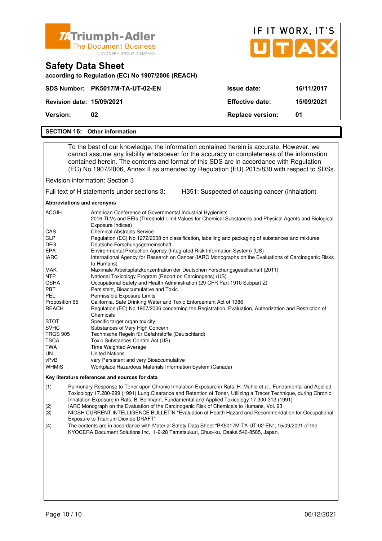| <b>74 Triumph-Adler</b><br>The Document Business<br>A KYOCERA GROUP COMPANY   |                         | IF IT WORX, IT'S<br>UTAX |
|-------------------------------------------------------------------------------|-------------------------|--------------------------|
| <b>Safety Data Sheet</b><br>according to Regulation (EC) No 1907/2006 (REACH) |                         |                          |
| <b>PK5017M-TA-UT-02-EN</b><br><b>SDS Number:</b>                              | Issue date:             | 16/11/2017               |
| <b>Revision date: 15/09/2021</b>                                              | <b>Effective date:</b>  | 15/09/2021               |
| Version:<br>02                                                                | <b>Replace version:</b> | 01                       |
| <b>SECTION 16: Other information</b>                                          |                         |                          |

 To the best of our knowledge, the information contained herein is accurate. However, we cannot assume any liability whatsoever for the accuracy or completeness of the information contained herein. The contents and format of this SDS are in accordance with Regulation (EC) No 1907/2006, Annex II as amended by Regulation (EU) 2015/830 with respect to SDSs.

Revision information: Section 3

Full text of H statements under sections 3: H351: Suspected of causing cancer (inhalation)

**Abbreviations and acronyms** 

| <b>ACGIH</b>    | American Conference of Governmental Industrial Hygienists<br>2016 TLVs and BEIs (Threshold Limit Values for Chemical Substances and Physical Agents and Biological |
|-----------------|--------------------------------------------------------------------------------------------------------------------------------------------------------------------|
|                 | Exposure Indices)                                                                                                                                                  |
| <b>CAS</b>      | <b>Chemical Abstracts Service</b>                                                                                                                                  |
| <b>CLP</b>      | Regulation (EC) No 1272/2008 on classification, labelling and packaging of substances and mixtures                                                                 |
| <b>DFG</b>      | Deutsche Forschungsgemeinschaft                                                                                                                                    |
| <b>EPA</b>      | Environmental Protection Agency (Integrated Risk Information System) (US)                                                                                          |
| <b>IARC</b>     | International Agency for Research on Cancer (IARC Monographs on the Evaluations of Carcinogenic Risks                                                              |
|                 | to Humans)                                                                                                                                                         |
| MAK             | Maximale Arbeitsplatzkonzentration der Deutschen Forschungsgesellschaft (2011)                                                                                     |
| <b>NTP</b>      | National Toxicology Program (Report on Carcinogens) (US)                                                                                                           |
| <b>OSHA</b>     | Occupational Safety and Health Administration (29 CFR Part 1910 Subpart Z)                                                                                         |
| <b>PBT</b>      | Persistent, Bioaccumulative and Toxic                                                                                                                              |
| <b>PEL</b>      | Permissible Exposure Limits                                                                                                                                        |
| Proposition 65  | California, Safe Drinking Water and Toxic Enforcement Act of 1986                                                                                                  |
| <b>REACH</b>    | Regulation (EC) No 1907/2006 concerning the Registration, Evaluation, Authorization and Restriction of                                                             |
|                 | Chemicals                                                                                                                                                          |
| <b>STOT</b>     | Specific target organ toxicity                                                                                                                                     |
| <b>SVHC</b>     | Substances of Very High Concern                                                                                                                                    |
| <b>TRGS 905</b> | Technische Regeln für Gefahrstoffe (Deutschland)                                                                                                                   |
| <b>TSCA</b>     | Toxic Substances Control Act (US)                                                                                                                                  |
| TWA             | <b>Time Weighted Average</b>                                                                                                                                       |
| UN.             | <b>United Nations</b>                                                                                                                                              |
| vPvB            | very Persistent and very Bioaccumulative                                                                                                                           |
| <b>WHMIS</b>    | Workplace Hazardous Materials Information System (Canada)                                                                                                          |

#### **Key literature references and sources for data**

(1) Pulmonary Response to Toner upon Chronic Inhalation Exposure in Rats, H. Muhle et al., Fundamental and Applied Toxicology 17.280-299 (1991) Lung Clearance and Retention of Toner, Utilizing a Tracer Technique, during Chronic Inhalation Exposure in Rats, B. Bellmann, Fundamental and Applied Toxicology 17.300-313 (1991)

(2) IARC Monograph on the Evaluation of the Carcinogenic Risk of Chemicals to Humans, Vol. 93

(3) NIOSH CURRENT INTELLIGENCE BULLETIN "Evaluation of Health Hazard and Recommendation for Occupational Exposure to Titanium Dioxide DRAFT"

(4) The contents are in accordance with Material Safety Data Sheet "PK5017M-TA-UT-02-EN"; 15/09/2021 of the KYOCERA Document Solutions Inc., 1-2-28 Tamatsukuri, Chuo-ku, Osaka 540-8585, Japan.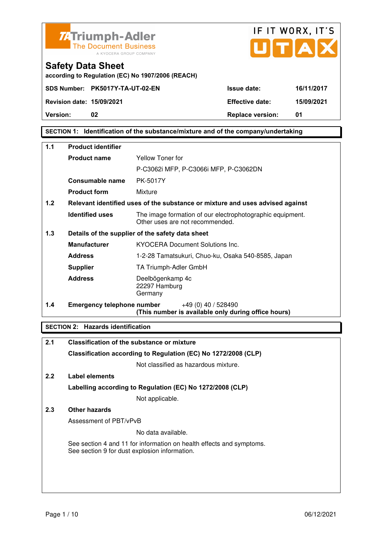



**according to Regulation (EC) No 1907/2006 (REACH)**

## **SECTION 1: Identification of the substance/mixture and of the company/undertaking**

| $1.1$ | <b>Product identifier</b>         |                                                                                              |
|-------|-----------------------------------|----------------------------------------------------------------------------------------------|
|       | <b>Product name</b>               | Yellow Toner for                                                                             |
|       |                                   | P-C3062i MFP, P-C3066i MFP, P-C3062DN                                                        |
|       | Consumable name                   | <b>PK-5017Y</b>                                                                              |
|       | <b>Product form</b>               | Mixture                                                                                      |
| 1.2   |                                   | Relevant identified uses of the substance or mixture and uses advised against                |
|       | <b>Identified uses</b>            | The image formation of our electrophotographic equipment.<br>Other uses are not recommended. |
| 1.3   |                                   | Details of the supplier of the safety data sheet                                             |
|       | <b>Manufacturer</b>               | <b>KYOCERA Document Solutions Inc.</b>                                                       |
|       | <b>Address</b>                    | 1-2-28 Tamatsukuri, Chuo-ku, Osaka 540-8585, Japan                                           |
|       | <b>Supplier</b>                   | TA Triumph-Adler GmbH                                                                        |
|       | <b>Address</b>                    | Deelbögenkamp 4c<br>22297 Hamburg<br>Germany                                                 |
| 1.4   | <b>Emergency telephone number</b> | $+49(0)$ 40 / 528490<br>(This number is available only during office hours)                  |

## **SECTION 2: Hazards identification**

| 2.1 | Classification of the substance or mixture                                                                            |
|-----|-----------------------------------------------------------------------------------------------------------------------|
|     | Classification according to Regulation (EC) No 1272/2008 (CLP)                                                        |
|     | Not classified as hazardous mixture.                                                                                  |
| 2.2 | Label elements                                                                                                        |
|     | Labelling according to Regulation (EC) No 1272/2008 (CLP)                                                             |
|     | Not applicable.                                                                                                       |
| 2.3 | <b>Other hazards</b>                                                                                                  |
|     | Assessment of PBT/vPvB                                                                                                |
|     | No data available.                                                                                                    |
|     | See section 4 and 11 for information on health effects and symptoms.<br>See section 9 for dust explosion information. |
|     |                                                                                                                       |
|     |                                                                                                                       |
|     |                                                                                                                       |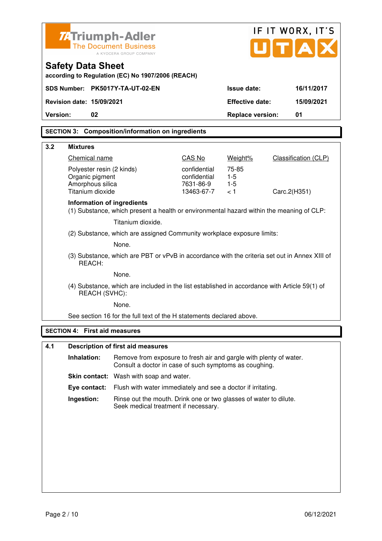| <b>ZATriumph-Adler</b> |                                                                                                         |                                                                                                                              | IF IT WORX, IT'S          |                         |                             |
|------------------------|---------------------------------------------------------------------------------------------------------|------------------------------------------------------------------------------------------------------------------------------|---------------------------|-------------------------|-----------------------------|
|                        |                                                                                                         | <b>The Document Business</b><br>A KYOCERA GROUP COMPANY                                                                      |                           |                         | U[T A]                      |
|                        | <b>Safety Data Sheet</b>                                                                                | according to Regulation (EC) No 1907/2006 (REACH)                                                                            |                           |                         |                             |
|                        |                                                                                                         | SDS Number: PK5017Y-TA-UT-02-EN                                                                                              |                           | <b>Issue date:</b>      | 16/11/2017                  |
|                        | <b>Revision date: 15/09/2021</b>                                                                        |                                                                                                                              |                           | <b>Effective date:</b>  | 15/09/2021                  |
| Version:               | 02                                                                                                      |                                                                                                                              |                           | <b>Replace version:</b> | 01                          |
|                        |                                                                                                         | <b>SECTION 3: Composition/information on ingredients</b>                                                                     |                           |                         |                             |
| 3.2                    | <b>Mixtures</b>                                                                                         |                                                                                                                              |                           |                         |                             |
|                        | Chemical name                                                                                           |                                                                                                                              | CAS No                    | Weight%                 | <b>Classification (CLP)</b> |
|                        | Polyester resin (2 kinds)                                                                               |                                                                                                                              | confidential              | 75-85                   |                             |
|                        | Organic pigment<br>Amorphous silica                                                                     |                                                                                                                              | confidential<br>7631-86-9 | $1-5$<br>$1-5$          |                             |
|                        | Titanium dioxide                                                                                        |                                                                                                                              | 13463-67-7                | < 1                     | Carc.2(H351)                |
|                        | Information of ingredients                                                                              | (1) Substance, which present a health or environmental hazard within the meaning of CLP:                                     |                           |                         |                             |
|                        |                                                                                                         | Titanium dioxide.                                                                                                            |                           |                         |                             |
|                        |                                                                                                         | (2) Substance, which are assigned Community workplace exposure limits:                                                       |                           |                         |                             |
|                        |                                                                                                         | None.                                                                                                                        |                           |                         |                             |
|                        | (3) Substance, which are PBT or vPvB in accordance with the criteria set out in Annex XIII of<br>REACH: |                                                                                                                              |                           |                         |                             |
|                        |                                                                                                         | None.                                                                                                                        |                           |                         |                             |
|                        | REACH (SVHC):                                                                                           | (4) Substance, which are included in the list established in accordance with Article 59(1) of                                |                           |                         |                             |
|                        |                                                                                                         | None.                                                                                                                        |                           |                         |                             |
|                        |                                                                                                         | See section 16 for the full text of the H statements declared above.                                                         |                           |                         |                             |
|                        | <b>SECTION 4: First aid measures</b>                                                                    |                                                                                                                              |                           |                         |                             |
| 4.1                    |                                                                                                         | <b>Description of first aid measures</b>                                                                                     |                           |                         |                             |
|                        | Inhalation:                                                                                             | Remove from exposure to fresh air and gargle with plenty of water.<br>Consult a doctor in case of such symptoms as coughing. |                           |                         |                             |
|                        |                                                                                                         | Skin contact: Wash with soap and water.                                                                                      |                           |                         |                             |
|                        | Eye contact:                                                                                            | Flush with water immediately and see a doctor if irritating.                                                                 |                           |                         |                             |
|                        | Ingestion:                                                                                              | Rinse out the mouth. Drink one or two glasses of water to dilute.<br>Seek medical treatment if necessary.                    |                           |                         |                             |
|                        |                                                                                                         |                                                                                                                              |                           |                         |                             |
|                        |                                                                                                         |                                                                                                                              |                           |                         |                             |
|                        |                                                                                                         |                                                                                                                              |                           |                         |                             |
|                        |                                                                                                         |                                                                                                                              |                           |                         |                             |
|                        |                                                                                                         |                                                                                                                              |                           |                         |                             |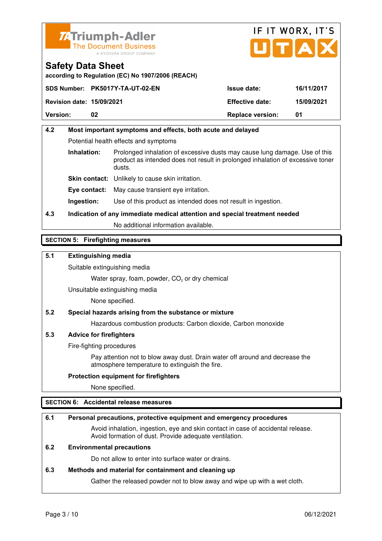



**according to Regulation (EC) No 1907/2006 (REACH)**

|                                  | SDS Number: PK5017Y-TA-UT-02-EN | <b>Issue date:</b>      | 16/11/2017 |
|----------------------------------|---------------------------------|-------------------------|------------|
| <b>Revision date: 15/09/2021</b> |                                 | <b>Effective date:</b>  | 15/09/2021 |
| <b>Version:</b>                  | 02                              | <b>Replace version:</b> | 01         |

# **4.2 Most important symptoms and effects, both acute and delayed**  Potential health effects and symptoms **Inhalation:** Prolonged inhalation of excessive dusts may cause lung damage. Use of this product as intended does not result in prolonged inhalation of excessive toner dusts. **Skin contact:** Unlikely to cause skin irritation. **Eye contact:** May cause transient eye irritation.

**Ingestion:** Use of this product as intended does not result in ingestion.

# **4.3 Indication of any immediate medical attention and special treatment needed**

No additional information available.

## **SECTION 5: Firefighting measures**

## **5.1 Extinguishing media**

Suitable extinguishing media

Water spray, foam, powder,  $CO<sub>2</sub>$  or dry chemical

Unsuitable extinguishing media

None specified.

## **5.2 Special hazards arising from the substance or mixture**

Hazardous combustion products: Carbon dioxide, Carbon monoxide

### **5.3 Advice for firefighters**

Fire-fighting procedures

 Pay attention not to blow away dust. Drain water off around and decrease the atmosphere temperature to extinguish the fire.

### **Protection equipment for firefighters**

None specified.

## **SECTION 6: Accidental release measures**

### **6.1 Personal precautions, protective equipment and emergency procedures**

 Avoid inhalation, ingestion, eye and skin contact in case of accidental release. Avoid formation of dust. Provide adequate ventilation.

## **6.2 Environmental precautions**

Do not allow to enter into surface water or drains.

### **6.3 Methods and material for containment and cleaning up**

Gather the released powder not to blow away and wipe up with a wet cloth.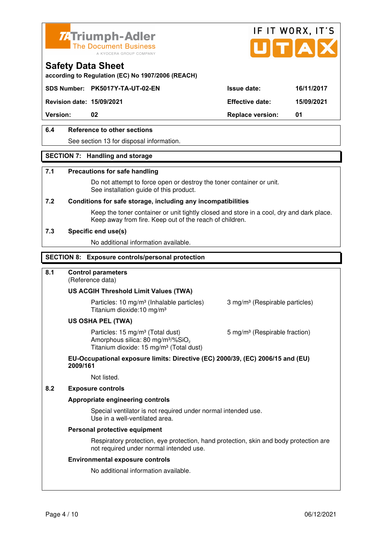



### **Safety Data Sheet according to Regulation (EC) No 1907/2006 (REACH)**

**SDS Number: PK5017Y-TA-UT-02-EN Issue date: 16/11/2017** 

**Revision date: 15/09/2021 Effective date: 15/09/2021** 

**Version:** 02 **Replace version:** 01

## **6.4 Reference to other sections**

See section 13 for disposal information.

## **SECTION 7: Handling and storage**

### **7.1 Precautions for safe handling**

 Do not attempt to force open or destroy the toner container or unit. See installation guide of this product.

#### **7.2 Conditions for safe storage, including any incompatibilities**

Keep the toner container or unit tightly closed and store in a cool, dry and dark place. Keep away from fire. Keep out of the reach of children.

### **7.3 Specific end use(s)**

No additional information available.

### **SECTION 8: Exposure controls/personal protection**

## **8.1 Control parameters**

(Reference data)

### **US ACGIH Threshold Limit Values (TWA)**

**Particles: 10 mg/m<sup>3</sup> (Inhalable particles) 3 mg/m<sup>3</sup> (Respirable particles)** Titanium dioxide:10 mg/m³

### **US OSHA PEL (TWA)**

Particles: 15 mg/m<sup>3</sup> (Total dust) 5 mg/m<sup>3</sup> (Respirable fraction) Amorphous silica:  $80 \text{ mg/m}^3/\% \text{SiO}_2$ Titanium dioxide: 15 mg/m<sup>3</sup> (Total dust)

#### **EU-Occupational exposure limits: Directive (EC) 2000/39, (EC) 2006/15 and (EU) 2009/161**

Not listed.

## **8.2 Exposure controls**

### **Appropriate engineering controls**

 Special ventilator is not required under normal intended use. Use in a well-ventilated area.

#### **Personal protective equipment**

 Respiratory protection, eye protection, hand protection, skin and body protection are not required under normal intended use.

#### **Environmental exposure controls**

No additional information available.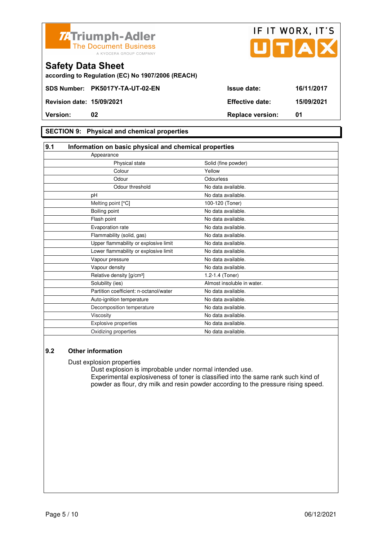



**according to Regulation (EC) No 1907/2006 (REACH)**

## **SECTION 9: Physical and chemical properties**

| 9.1<br>Information on basic physical and chemical properties |                            |  |
|--------------------------------------------------------------|----------------------------|--|
| Appearance                                                   |                            |  |
| Physical state                                               | Solid (fine powder)        |  |
| Colour                                                       | Yellow                     |  |
| Odour                                                        | Odourless                  |  |
| Odour threshold                                              | No data available.         |  |
| pH                                                           | No data available.         |  |
| Melting point [°C]                                           | 100-120 (Toner)            |  |
| Boiling point                                                | No data available.         |  |
| Flash point                                                  | No data available.         |  |
| Evaporation rate                                             | No data available.         |  |
| Flammability (solid, gas)                                    | No data available.         |  |
| Upper flammability or explosive limit                        | No data available.         |  |
| Lower flammability or explosive limit                        | No data available.         |  |
| Vapour pressure                                              | No data available.         |  |
| Vapour density                                               | No data available.         |  |
| Relative density [g/cm <sup>3</sup> ]                        | 1.2-1.4 (Toner)            |  |
| Solubility (ies)                                             | Almost insoluble in water. |  |
| Partition coefficient: n-octanol/water                       | No data available.         |  |
| Auto-ignition temperature                                    | No data available.         |  |
| Decomposition temperature                                    | No data available.         |  |
| Viscosity                                                    | No data available.         |  |
| Explosive properties                                         | No data available.         |  |
| Oxidizing properties                                         | No data available.         |  |

## **9.2 Other information**

Dust explosion properties

 Dust explosion is improbable under normal intended use. Experimental explosiveness of toner is classified into the same rank such kind of powder as flour, dry milk and resin powder according to the pressure rising speed.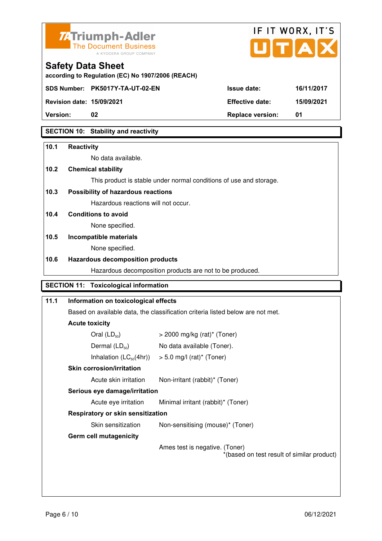



# **Version: 02 Replace version: 01**

## **SECTION 10: Stability and reactivity**

### **10.1 Reactivity**

No data available.

## **10.2 Chemical stability**

This product is stable under normal conditions of use and storage.

## **10.3 Possibility of hazardous reactions**

Hazardous reactions will not occur.

#### **10.4 Conditions to avoid**

None specified.

#### **10.5 Incompatible materials**

None specified.

### **10.6 Hazardous decomposition products**

Hazardous decomposition products are not to be produced.

## **SECTION 11: Toxicological information**

# **11.1 Information on toxicological effects**  Based on available data, the classification criteria listed below are not met. **Acute toxicity**  Oral  $(LD_{50})$   $> 2000 \text{ mg/kg (rat)}^*$  (Toner) Dermal  $(LD_{50})$  No data available (Toner). Inhalation  $(LC_{50}(4hr))$  > 5.0 mg/l (rat)\* (Toner)  **Skin corrosion/irritation** Acute skin irritation Non-irritant (rabbit)\* (Toner)  **Serious eye damage/irritation** Acute eye irritation Minimal irritant (rabbit)\* (Toner)  **Respiratory or skin sensitization**  Skin sensitization Mon-sensitising (mouse)\* (Toner)  **Germ cell mutagenicity** Ames test is negative. (Toner) \*(based on test result of similar product)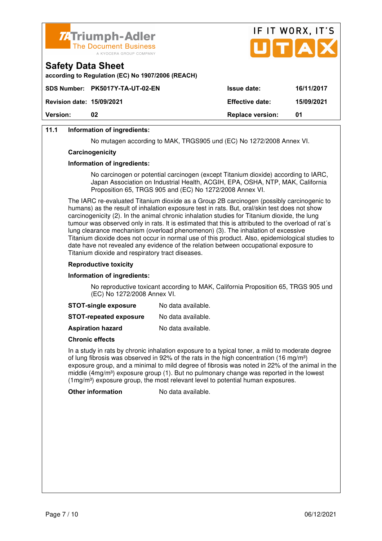



## **11.1 Information of ingredients:**

**Safety Data Sheet** 

No mutagen according to MAK, TRGS905 und (EC) No 1272/2008 Annex VI.

#### **Carcinogenicity**

#### **Information of ingredients:**

 No carcinogen or potential carcinogen (except Titanium dioxide) according to IARC, Japan Association on Industrial Health, ACGIH, EPA, OSHA, NTP, MAK, California Proposition 65, TRGS 905 and (EC) No 1272/2008 Annex VI.

 The IARC re-evaluated Titanium dioxide as a Group 2B carcinogen (possibly carcinogenic to humans) as the result of inhalation exposure test in rats. But, oral/skin test does not show carcinogenicity (2). In the animal chronic inhalation studies for Titanium dioxide, the lung tumour was observed only in rats. It is estimated that this is attributed to the overload of rat´s lung clearance mechanism (overload phenomenon) (3). The inhalation of excessive Titanium dioxide does not occur in normal use of this product. Also, epidemiological studies to date have not revealed any evidence of the relation between occupational exposure to Titanium dioxide and respiratory tract diseases.

#### **Reproductive toxicity**

#### **Information of ingredients:**

 No reproductive toxicant according to MAK, California Proposition 65, TRGS 905 und (EC) No 1272/2008 Annex VI.

| <b>STOT-single exposure</b> | No data available. |
|-----------------------------|--------------------|
|-----------------------------|--------------------|

**STOT-repeated exposure** No data available.

**Aspiration hazard** No data available.

#### **Chronic effects**

 In a study in rats by chronic inhalation exposure to a typical toner, a mild to moderate degree of lung fibrosis was observed in 92% of the rats in the high concentration (16 mg/m<sup>3</sup>) exposure group, and a minimal to mild degree of fibrosis was noted in 22% of the animal in the middle  $(4mg/m<sup>3</sup>)$  exposure group (1). But no pulmonary change was reported in the lowest  $(1 \text{ma/m}^3)$  exposure group, the most relevant level to potential human exposures.

**Other information** No data available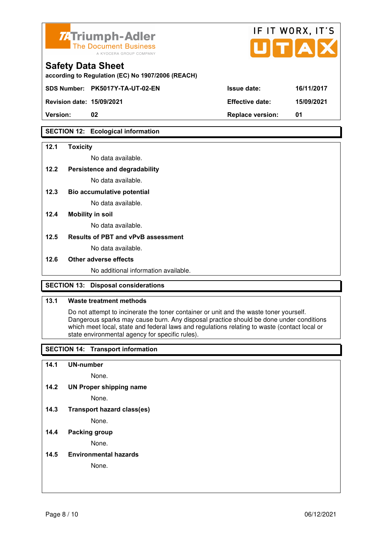

| <b>74 Triumph-Adler</b><br>The Document Business<br>A KYOCERA GROUP COMPANY   |                        | IF II WUKA, II 5<br>UTAX |
|-------------------------------------------------------------------------------|------------------------|--------------------------|
| <b>Safety Data Sheet</b><br>according to Regulation (EC) No 1907/2006 (REACH) |                        |                          |
| SDS Number: PK5017Y-TA-UT-02-EN                                               | <b>Issue date:</b>     | 16/11/2017               |
| <b>Revision date: 15/09/2021</b>                                              | <b>Effective date:</b> | 15/09/2021               |

 $FIT$   $MOR$ 

 $\overline{\phantom{a}}$ 

**Version: 02 Replace version: 01** 

## **SECTION 12: Ecological information**

#### **12.1 Toxicity**

No data available.

#### **12.2 Persistence and degradability**

No data available.

**12.3 Bio accumulative potential** 

No data available.

#### **12.4 Mobility in soil**

No data available.

### **12.5 Results of PBT and vPvB assessment**

No data available.

#### **12.6 Other adverse effects**

No additional information available.

## **SECTION 13: Disposal considerations**

## **13.1 Waste treatment methods**

 Do not attempt to incinerate the toner container or unit and the waste toner yourself. Dangerous sparks may cause burn. Any disposal practice should be done under conditions which meet local, state and federal laws and regulations relating to waste (contact local or state environmental agency for specific rules).

## **SECTION 14: Transport information**

#### **14.1 UN-number**

None.

**14.2 UN Proper shipping name** 

None.

**14.3 Transport hazard class(es)** 

None.

## **14.4 Packing group**

None.

#### **14.5 Environmental hazards**

None.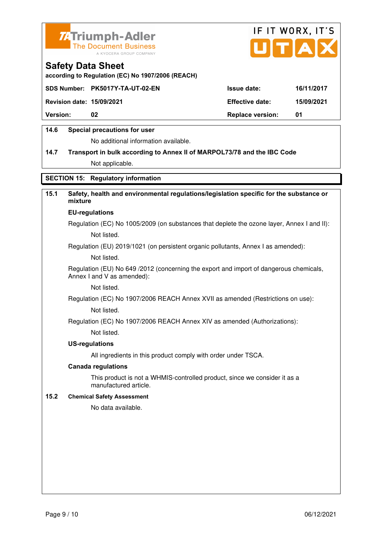



**according to Regulation (EC) No 1907/2006 (REACH)**

|                                  | SDS Number: PK5017Y-TA-UT-02-EN | <b>Issue date:</b>      | 16/11/2017 |
|----------------------------------|---------------------------------|-------------------------|------------|
| <b>Revision date: 15/09/2021</b> |                                 | <b>Effective date:</b>  | 15/09/2021 |
| <b>Version:</b>                  | 02                              | <b>Replace version:</b> | -01        |
|                                  |                                 |                         |            |

## **14.6 Special precautions for user**

No additional information available.

# **14.7 Transport in bulk according to Annex II of MARPOL73/78 and the IBC Code** Not applicable.

## **SECTION 15: Regulatory information**

## **15.1 Safety, health and environmental regulations/legislation specific for the substance or mixture**

#### **EU-regulations**

Regulation (EC) No 1005/2009 (on substances that deplete the ozone layer, Annex I and II): Not listed.

Regulation (EU) 2019/1021 (on persistent organic pollutants, Annex I as amended):

Not listed.

 Regulation (EU) No 649 /2012 (concerning the export and import of dangerous chemicals, Annex I and V as amended):

Not listed.

 Regulation (EC) No 1907/2006 REACH Annex XVII as amended (Restrictions on use): Not listed.

Regulation (EC) No 1907/2006 REACH Annex XIV as amended (Authorizations):

Not listed.

#### **US-regulations**

All ingredients in this product comply with order under TSCA.

#### **Canada regulations**

 This product is not a WHMIS-controlled product, since we consider it as a manufactured article.

#### **15.2 Chemical Safety Assessment**

No data available.